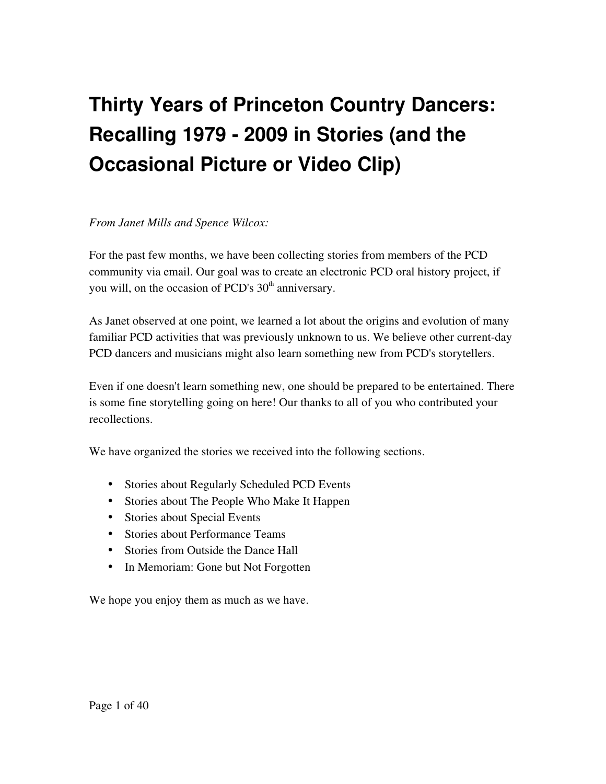# **Thirty Years of Princeton Country Dancers: Recalling 1979 2009 in Stories (and the Occasional Picture or Video Clip)**

### *From Janet Mills and Spence Wilcox:*

For the past few months, we have been collecting stories from members of the PCD community via email. Our goal was to create an electronic PCD oral history project, if you will, on the occasion of PCD's  $30<sup>th</sup>$  anniversary.

As Janet observed at one point, we learned a lot about the origins and evolution of many familiar PCD activities that was previously unknown to us. We believe other current-day PCD dancers and musicians might also learn something new from PCD's storytellers.

Even if one doesn't learn something new, one should be prepared to be entertained. There is some fine storytelling going on here! Our thanks to all of you who contributed your recollections.

We have organized the stories we received into the following sections.

- Stories about Regularly Scheduled PCD Events
- Stories about The People Who Make It Happen
- Stories about Special Events
- Stories about Performance Teams
- Stories from Outside the Dance Hall
- In Memoriam: Gone but Not Forgotten

We hope you enjoy them as much as we have.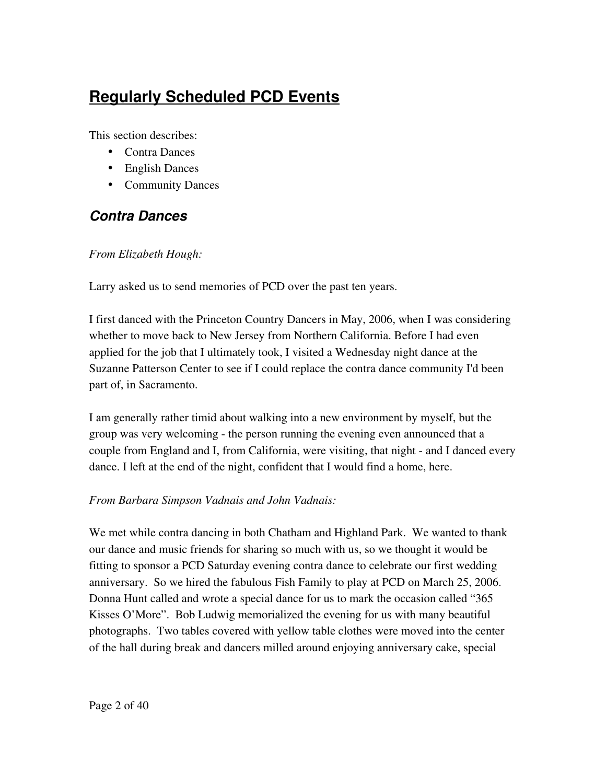## **Regularly Scheduled PCD Events**

This section describes:

- Contra Dances
- English Dances
- Community Dances

## *Contra Dances*

### *From Elizabeth Hough:*

Larry asked us to send memories of PCD over the past ten years.

I first danced with the Princeton Country Dancers in May, 2006, when I was considering whether to move back to New Jersey from Northern California. Before I had even applied for the job that I ultimately took, I visited a Wednesday night dance at the Suzanne Patterson Center to see if I could replace the contra dance community I'd been part of, in Sacramento.

I am generally rather timid about walking into a new environment by myself, but the group was very welcoming - the person running the evening even announced that a couple from England and I, from California, were visiting, that night - and I danced every dance. I left at the end of the night, confident that I would find a home, here.

### *From Barbara Simpson Vadnais and John Vadnais:*

We met while contra dancing in both Chatham and Highland Park. We wanted to thank our dance and music friends for sharing so much with us, so we thought it would be fitting to sponsor a PCD Saturday evening contra dance to celebrate our first wedding anniversary. So we hired the fabulous Fish Family to play at PCD on March 25, 2006. Donna Hunt called and wrote a special dance for us to mark the occasion called "365 Kisses O'More". Bob Ludwig memorialized the evening for us with many beautiful photographs. Two tables covered with yellow table clothes were moved into the center of the hall during break and dancers milled around enjoying anniversary cake, special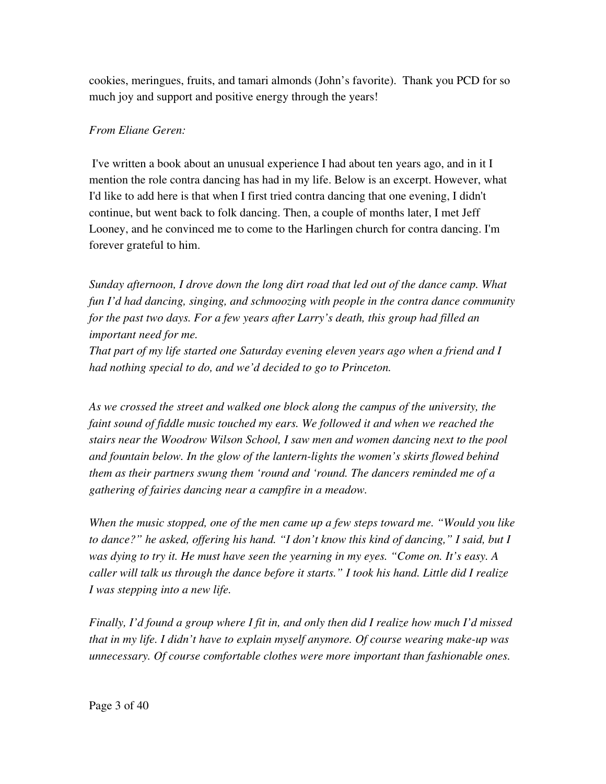cookies, meringues, fruits, and tamari almonds (John's favorite). Thank you PCD for so much joy and support and positive energy through the years!

#### *From Eliane Geren:*

I've written a book about an unusual experience I had about ten years ago, and in it I mention the role contra dancing has had in my life. Below is an excerpt. However, what I'd like to add here is that when I first tried contra dancing that one evening, I didn't continue, but went back to folk dancing. Then, a couple of months later, I met Jeff Looney, and he convinced me to come to the Harlingen church for contra dancing. I'm forever grateful to him.

*Sunday afternoon, I drove down the long dirt road that led out of the dance camp. What fun I'd had dancing, singing, and schmoozing with people in the contra dance community for the past two days. For a few years after Larry's death, this group had filled an important need for me.* 

*That part of my life started one Saturday evening eleven years ago when a friend and I had nothing special to do, and we'd decided to go to Princeton.*

*As we crossed the street and walked one block along the campus of the university, the faint sound of fiddle music touched my ears. We followed it and when we reached the stairs near the Woodrow Wilson School, I saw men and women dancing next to the pool* and fountain below. In the glow of the lantern-lights the women's skirts flowed behind *them as their partners swung them 'round and 'round. The dancers reminded me of a gathering of fairies dancing near a campfire in a meadow.* 

*When the music stopped, one of the men came up a few steps toward me. "Would you like to dance?" he asked, offering his hand. "I don't know this kind of dancing," I said, but I was dying to try it. He must have seen the yearning in my eyes. "Come on. It's easy. A caller will talk us through the dance before it starts." I took his hand. Little did I realize I was stepping into a new life.*

*Finally, I'd found a group where I fit in, and only then did I realize how much I'd missed that in my life. I didn't have to explain myself anymore. Of course wearing make-up was unnecessary. Of course comfortable clothes were more important than fashionable ones.*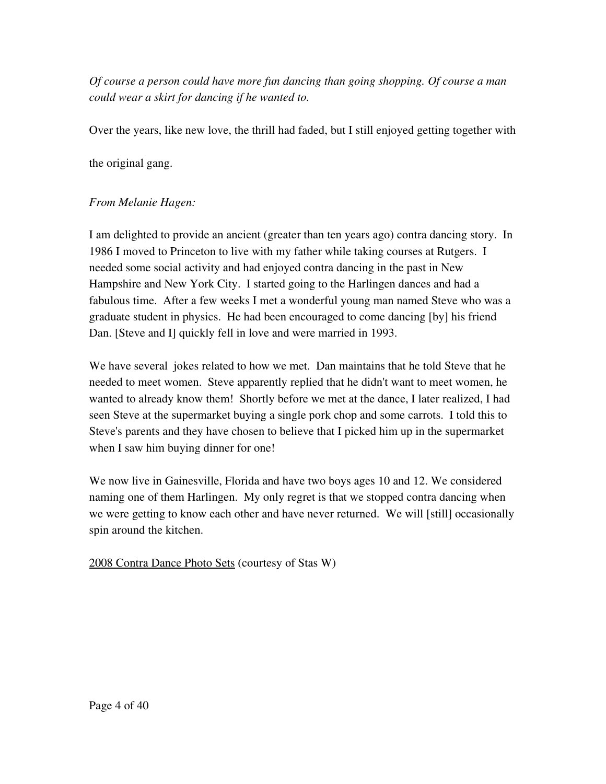*Of course a person could have more fun dancing than going shopping. Of course a man could wear a skirt for dancing if he wanted to.*

Over the years, like new love, the thrill had faded, but I still enjoyed getting together with

the original gang.

### *From Melanie Hagen:*

I am delighted to provide an ancient (greater than ten years ago) contra dancing story. In 1986 I moved to Princeton to live with my father while taking courses at Rutgers. I needed some social activity and had enjoyed contra dancing in the past in New Hampshire and New York City. I started going to the Harlingen dances and had a fabulous time. After a few weeks I met a wonderful young man named Steve who was a graduate student in physics. He had been encouraged to come dancing [by] his friend Dan. [Steve and I] quickly fell in love and were married in 1993.

We have several jokes related to how we met. Dan maintains that he told Steve that he needed to meet women. Steve apparently replied that he didn't want to meet women, he wanted to already know them! Shortly before we met at the dance, I later realized, I had seen Steve at the supermarket buying a single pork chop and some carrots. I told this to Steve's parents and they have chosen to believe that I picked him up in the supermarket when I saw him buying dinner for one!

We now live in Gainesville, Florida and have two boys ages 10 and 12. We considered naming one of them Harlingen. My only regret is that we stopped contra dancing when we were getting to know each other and have never returned. We will [still] occasionally spin around the kitchen.

[2008 Contra Dance Photo Sets](http://www.flickr.com/photos/staspix/sets/72157608967258447/) (courtesy of Stas W)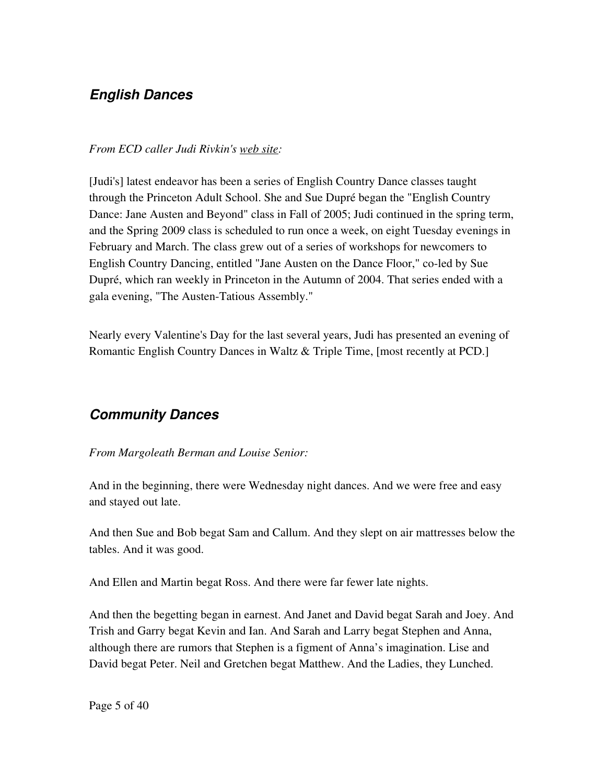### *English Dances*

### *From ECD caller Judi Rivkin's [web site:](http://www.rivkinetic.org/)*

[Judi's] latest endeavor has been a series of English Country Dance classes taught through the Princeton Adult School. She and Sue Dupré began the "English Country Dance: Jane Austen and Beyond" class in Fall of 2005; Judi continued in the spring term, and the Spring 2009 class is scheduled to run once a week, on eight Tuesday evenings in February and March. The class grew out of a series of workshops for newcomers to English Country Dancing, entitled "Jane Austen on the Dance Floor," coled by Sue Dupré, which ran weekly in Princeton in the Autumn of 2004. That series ended with a gala evening, "The Austen-Tatious Assembly."

Nearly every Valentine's Day for the last several years, Judi has presented an evening of Romantic English Country Dances in Waltz & Triple Time, [most recently at PCD.]

### *Community Dances*

### *From Margoleath Berman and Louise Senior:*

And in the beginning, there were Wednesday night dances. And we were free and easy and stayed out late.

And then Sue and Bob begat Sam and Callum. And they slept on air mattresses below the tables. And it was good.

And Ellen and Martin begat Ross. And there were far fewer late nights.

And then the begetting began in earnest. And Janet and David begat Sarah and Joey. And Trish and Garry begat Kevin and Ian. And Sarah and Larry begat Stephen and Anna, although there are rumors that Stephen is a figment of Anna's imagination. Lise and David begat Peter. Neil and Gretchen begat Matthew. And the Ladies, they Lunched.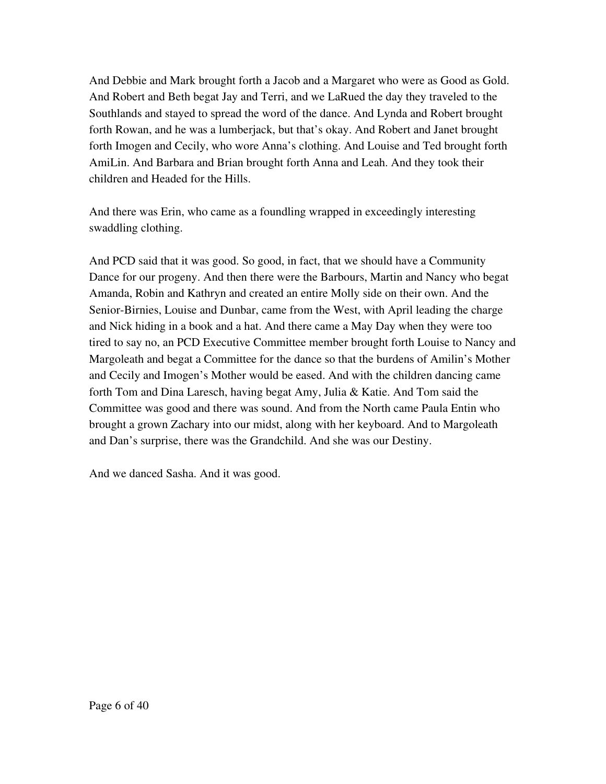And Debbie and Mark brought forth a Jacob and a Margaret who were as Good as Gold. And Robert and Beth begat Jay and Terri, and we LaRued the day they traveled to the Southlands and stayed to spread the word of the dance. And Lynda and Robert brought forth Rowan, and he was a lumberjack, but that's okay. And Robert and Janet brought forth Imogen and Cecily, who wore Anna's clothing. And Louise and Ted brought forth AmiLin. And Barbara and Brian brought forth Anna and Leah. And they took their children and Headed for the Hills.

And there was Erin, who came as a foundling wrapped in exceedingly interesting swaddling clothing.

And PCD said that it was good. So good, in fact, that we should have a Community Dance for our progeny. And then there were the Barbours, Martin and Nancy who begat Amanda, Robin and Kathryn and created an entire Molly side on their own. And the Senior-Birnies, Louise and Dunbar, came from the West, with April leading the charge and Nick hiding in a book and a hat. And there came a May Day when they were too tired to say no, an PCD Executive Committee member brought forth Louise to Nancy and Margoleath and begat a Committee for the dance so that the burdens of Amilin's Mother and Cecily and Imogen's Mother would be eased. And with the children dancing came forth Tom and Dina Laresch, having begat Amy, Julia & Katie. And Tom said the Committee was good and there was sound. And from the North came Paula Entin who brought a grown Zachary into our midst, along with her keyboard. And to Margoleath and Dan's surprise, there was the Grandchild. And she was our Destiny.

And we danced Sasha. And it was good.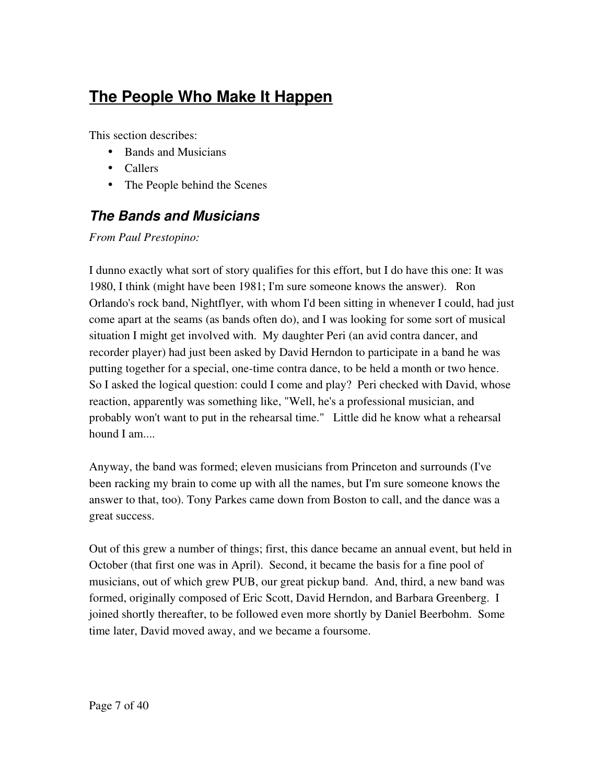## **The People Who Make It Happen**

This section describes:

- Bands and Musicians
- Callers
- The People behind the Scenes

## *The Bands and Musicians*

### *From Paul Prestopino:*

I dunno exactly what sort of story qualifies for this effort, but I do have this one: It was 1980, I think (might have been 1981; I'm sure someone knows the answer). Ron Orlando's rock band, Nightflyer, with whom I'd been sitting in whenever I could, had just come apart at the seams (as bands often do), and I was looking for some sort of musical situation I might get involved with. My daughter Peri (an avid contra dancer, and recorder player) had just been asked by David Herndon to participate in a band he was putting together for a special, one-time contra dance, to be held a month or two hence. So I asked the logical question: could I come and play? Peri checked with David, whose reaction, apparently was something like, "Well, he's a professional musician, and probably won't want to put in the rehearsal time." Little did he know what a rehearsal hound I am....

Anyway, the band was formed; eleven musicians from Princeton and surrounds (I've been racking my brain to come up with all the names, but I'm sure someone knows the answer to that, too). Tony Parkes came down from Boston to call, and the dance was a great success.

Out of this grew a number of things; first, this dance became an annual event, but held in October (that first one was in April). Second, it became the basis for a fine pool of musicians, out of which grew PUB, our great pickup band. And, third, a new band was formed, originally composed of Eric Scott, David Herndon, and Barbara Greenberg. I joined shortly thereafter, to be followed even more shortly by Daniel Beerbohm. Some time later, David moved away, and we became a foursome.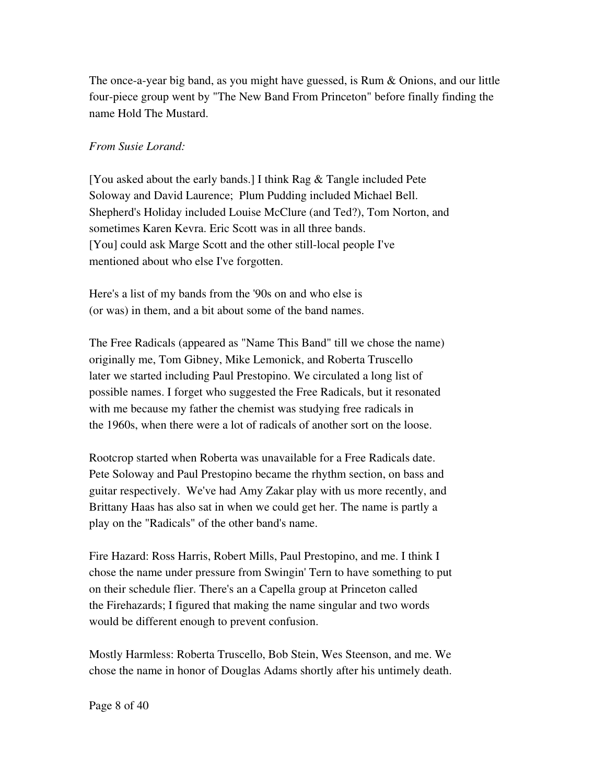The once-a-year big band, as you might have guessed, is Rum  $&$  Onions, and our little four-piece group went by "The New Band From Princeton" before finally finding the name Hold The Mustard.

#### *From Susie Lorand:*

[You asked about the early bands.] I think Rag & Tangle included Pete Soloway and David Laurence; Plum Pudding included Michael Bell. Shepherd's Holiday included Louise McClure (and Ted?), Tom Norton, and sometimes Karen Kevra. Eric Scott was in all three bands. [You] could ask Marge Scott and the other still-local people I've mentioned about who else I've forgotten.

Here's a list of my bands from the '90s on and who else is (or was) in them, and a bit about some of the band names.

The Free Radicals (appeared as "Name This Band" till we chose the name) originally me, Tom Gibney, Mike Lemonick, and Roberta Truscello later we started including Paul Prestopino. We circulated a long list of possible names. I forget who suggested the Free Radicals, but it resonated with me because my father the chemist was studying free radicals in the 1960s, when there were a lot of radicals of another sort on the loose.

Rootcrop started when Roberta was unavailable for a Free Radicals date. Pete Soloway and Paul Prestopino became the rhythm section, on bass and guitar respectively. We've had Amy Zakar play with us more recently, and Brittany Haas has also sat in when we could get her. The name is partly a play on the "Radicals" of the other band's name.

Fire Hazard: Ross Harris, Robert Mills, Paul Prestopino, and me. I think I chose the name under pressure from Swingin' Tern to have something to put on their schedule flier. There's an a Capella group at Princeton called the Firehazards; I figured that making the name singular and two words would be different enough to prevent confusion.

Mostly Harmless: Roberta Truscello, Bob Stein, Wes Steenson, and me. We chose the name in honor of Douglas Adams shortly after his untimely death.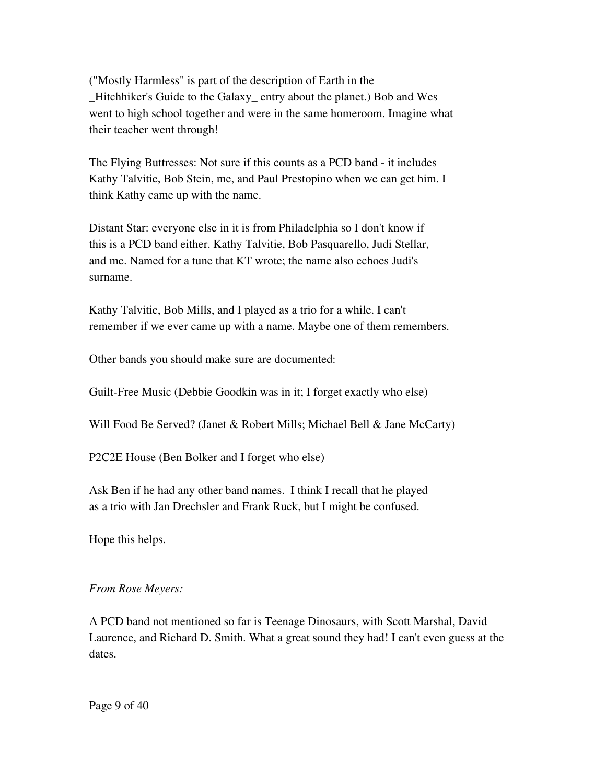("Mostly Harmless" is part of the description of Earth in the \_Hitchhiker's Guide to the Galaxy\_ entry about the planet.) Bob and Wes went to high school together and were in the same homeroom. Imagine what their teacher went through!

The Flying Buttresses: Not sure if this counts as a PCD band - it includes Kathy Talvitie, Bob Stein, me, and Paul Prestopino when we can get him. I think Kathy came up with the name.

Distant Star: everyone else in it is from Philadelphia so I don't know if this is a PCD band either. Kathy Talvitie, Bob Pasquarello, Judi Stellar, and me. Named for a tune that KT wrote; the name also echoes Judi's surname.

Kathy Talvitie, Bob Mills, and I played as a trio for a while. I can't remember if we ever came up with a name. Maybe one of them remembers.

Other bands you should make sure are documented:

Guilt-Free Music (Debbie Goodkin was in it; I forget exactly who else)

Will Food Be Served? (Janet & Robert Mills; Michael Bell & Jane McCarty)

P2C2E House (Ben Bolker and I forget who else)

Ask Ben if he had any other band names. I think I recall that he played as a trio with Jan Drechsler and Frank Ruck, but I might be confused.

Hope this helps.

### *From Rose Meyers:*

A PCD band not mentioned so far is Teenage Dinosaurs, with Scott Marshal, David Laurence, and Richard D. Smith. What a great sound they had! I can't even guess at the dates.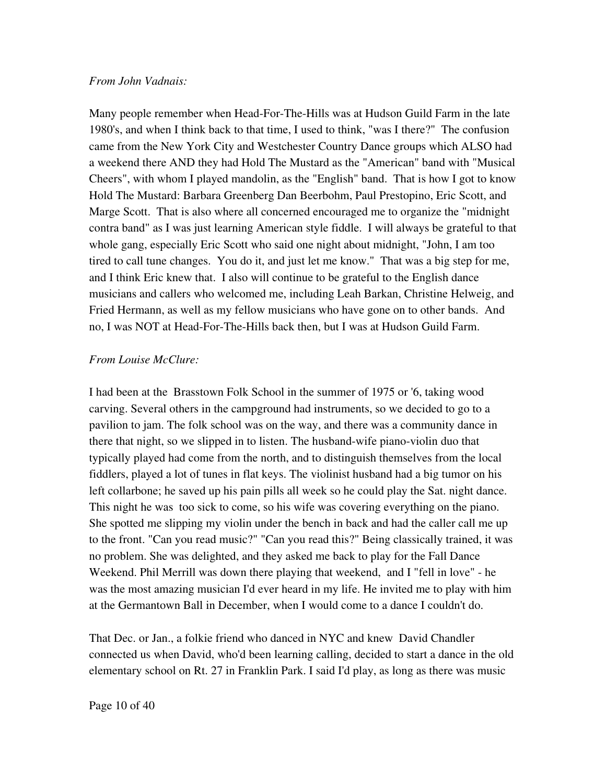#### *From John Vadnais:*

Many people remember when Head-For-The-Hills was at Hudson Guild Farm in the late 1980's, and when I think back to that time, I used to think, "was I there?" The confusion came from the New York City and Westchester Country Dance groups which ALSO had a weekend there AND they had Hold The Mustard as the "American" band with "Musical Cheers", with whom I played mandolin, as the "English" band. That is how I got to know Hold The Mustard: Barbara Greenberg Dan Beerbohm, Paul Prestopino, Eric Scott, and Marge Scott. That is also where all concerned encouraged me to organize the "midnight contra band" as I was just learning American style fiddle. I will always be grateful to that whole gang, especially Eric Scott who said one night about midnight, "John, I am too tired to call tune changes. You do it, and just let me know." That was a big step for me, and I think Eric knew that. I also will continue to be grateful to the English dance musicians and callers who welcomed me, including Leah Barkan, Christine Helweig, and Fried Hermann, as well as my fellow musicians who have gone on to other bands. And no, I was NOT at Head-For-The-Hills back then, but I was at Hudson Guild Farm.

#### *From Louise McClure:*

I had been at the Brasstown Folk School in the summer of 1975 or '6, taking wood carving. Several others in the campground had instruments, so we decided to go to a pavilion to jam. The folk school was on the way, and there was a community dance in there that night, so we slipped in to listen. The husband-wife piano-violin duo that typically played had come from the north, and to distinguish themselves from the local fiddlers, played a lot of tunes in flat keys. The violinist husband had a big tumor on his left collarbone; he saved up his pain pills all week so he could play the Sat. night dance. This night he was too sick to come, so his wife was covering everything on the piano. She spotted me slipping my violin under the bench in back and had the caller call me up to the front. "Can you read music?" "Can you read this?" Being classically trained, it was no problem. She was delighted, and they asked me back to play for the Fall Dance Weekend. Phil Merrill was down there playing that weekend, and I "fell in love" - he was the most amazing musician I'd ever heard in my life. He invited me to play with him at the Germantown Ball in December, when I would come to a dance I couldn't do.

That Dec. or Jan., a folkie friend who danced in NYC and knew David Chandler connected us when David, who'd been learning calling, decided to start a dance in the old elementary school on Rt. 27 in Franklin Park. I said I'd play, as long as there was music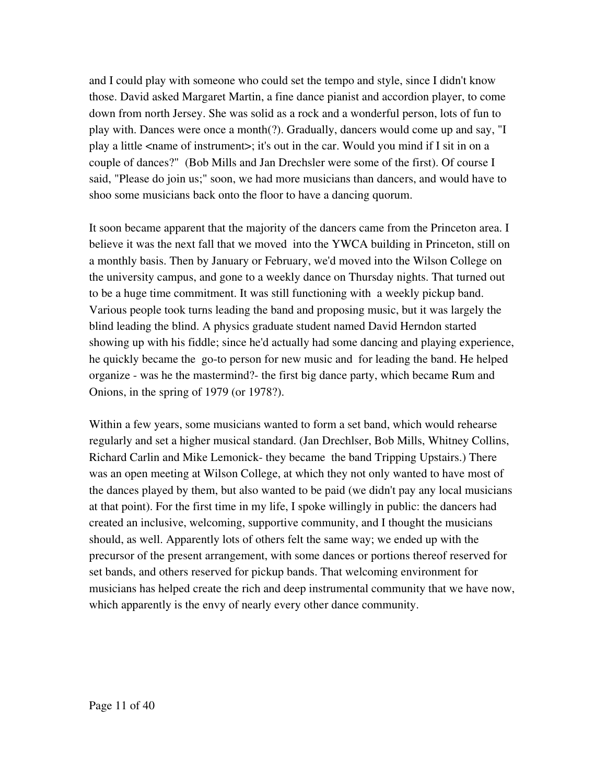and I could play with someone who could set the tempo and style, since I didn't know those. David asked Margaret Martin, a fine dance pianist and accordion player, to come down from north Jersey. She was solid as a rock and a wonderful person, lots of fun to play with. Dances were once a month(?). Gradually, dancers would come up and say, "I play a little <name of instrument>; it's out in the car. Would you mind if I sit in on a couple of dances?" (Bob Mills and Jan Drechsler were some of the first). Of course I said, "Please do join us;" soon, we had more musicians than dancers, and would have to shoo some musicians back onto the floor to have a dancing quorum.

It soon became apparent that the majority of the dancers came from the Princeton area. I believe it was the next fall that we moved into the YWCA building in Princeton, still on a monthly basis. Then by January or February, we'd moved into the Wilson College on the university campus, and gone to a weekly dance on Thursday nights. That turned out to be a huge time commitment. It was still functioning with a weekly pickup band. Various people took turns leading the band and proposing music, but it was largely the blind leading the blind. A physics graduate student named David Herndon started showing up with his fiddle; since he'd actually had some dancing and playing experience, he quickly became the go-to person for new music and for leading the band. He helped organize - was he the mastermind? the first big dance party, which became Rum and Onions, in the spring of 1979 (or 1978?).

Within a few years, some musicians wanted to form a set band, which would rehearse regularly and set a higher musical standard. (Jan Drechlser, Bob Mills, Whitney Collins, Richard Carlin and Mike Lemonick- they became the band Tripping Upstairs.) There was an open meeting at Wilson College, at which they not only wanted to have most of the dances played by them, but also wanted to be paid (we didn't pay any local musicians at that point). For the first time in my life, I spoke willingly in public: the dancers had created an inclusive, welcoming, supportive community, and I thought the musicians should, as well. Apparently lots of others felt the same way; we ended up with the precursor of the present arrangement, with some dances or portions thereof reserved for set bands, and others reserved for pickup bands. That welcoming environment for musicians has helped create the rich and deep instrumental community that we have now, which apparently is the envy of nearly every other dance community.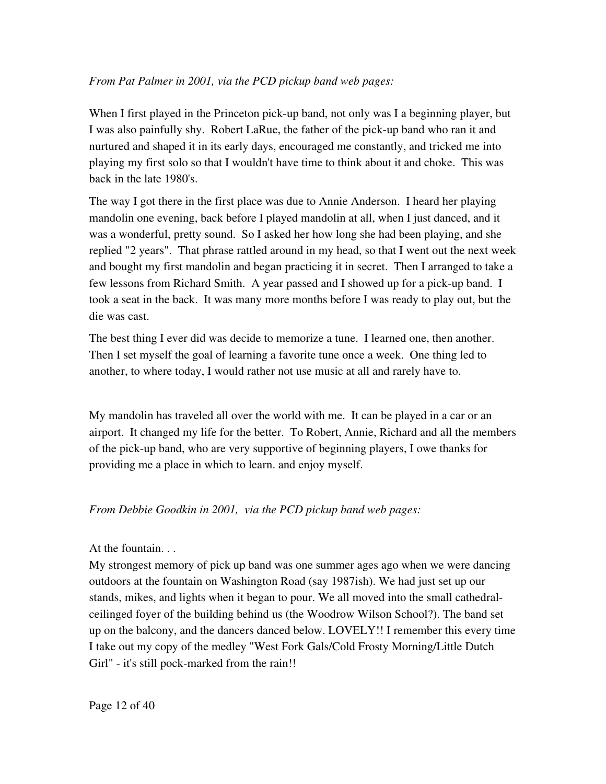### *From Pat Palmer in 2001, via the PCD pickup band web pages:*

When I first played in the Princeton pick-up band, not only was I a beginning player, but I was also painfully shy. Robert LaRue, the father of the pick-up band who ran it and nurtured and shaped it in its early days, encouraged me constantly, and tricked me into playing my first solo so that I wouldn't have time to think about it and choke. This was back in the late 1980's.

The way I got there in the first place was due to Annie Anderson. I heard her playing mandolin one evening, back before I played mandolin at all, when I just danced, and it was a wonderful, pretty sound. So I asked her how long she had been playing, and she replied "2 years". That phrase rattled around in my head, so that I went out the next week and bought my first mandolin and began practicing it in secret. Then I arranged to take a few lessons from Richard Smith. A year passed and I showed up for a pick-up band. I took a seat in the back. It was many more months before I was ready to play out, but the die was cast.

The best thing I ever did was decide to memorize a tune. I learned one, then another. Then I set myself the goal of learning a favorite tune once a week. One thing led to another, to where today, I would rather not use music at all and rarely have to.

My mandolin has traveled all over the world with me. It can be played in a car or an airport. It changed my life for the better. To Robert, Annie, Richard and all the members of the pick-up band, who are very supportive of beginning players, I owe thanks for providing me a place in which to learn. and enjoy myself.

### *From Debbie Goodkin in 2001, via the PCD pickup band web pages:*

At the fountain. . .

My strongest memory of pick up band was one summer ages ago when we were dancing outdoors at the fountain on Washington Road (say 1987ish). We had just set up our stands, mikes, and lights when it began to pour. We all moved into the small cathedralceilinged foyer of the building behind us (the Woodrow Wilson School?). The band set up on the balcony, and the dancers danced below. LOVELY!! I remember this every time I take out my copy of the medley "West Fork Gals/Cold Frosty Morning/Little Dutch Girl" - it's still pock-marked from the rain!!

Page 12 of 40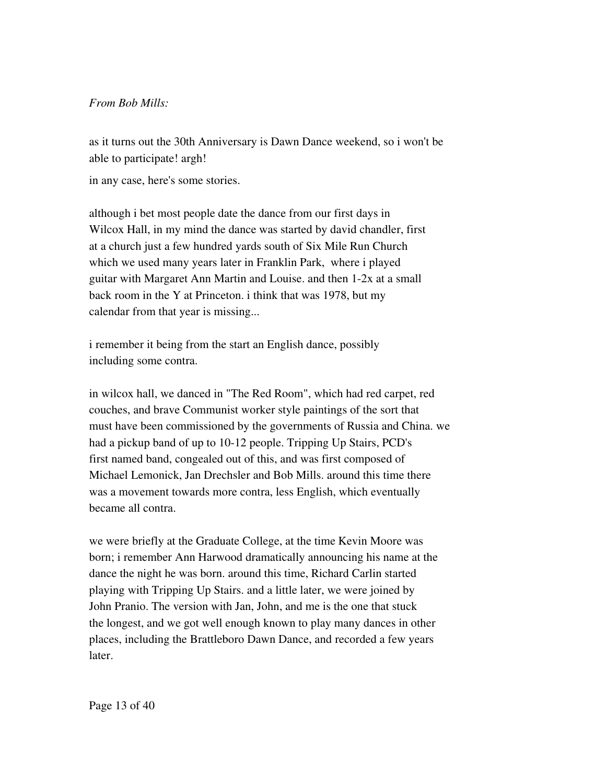#### *From Bob Mills:*

as it turns out the 30th Anniversary is Dawn Dance weekend, so i won't be able to participate! argh!

in any case, here's some stories.

although i bet most people date the dance from our first days in Wilcox Hall, in my mind the dance was started by david chandler, first at a church just a few hundred yards south of Six Mile Run Church which we used many years later in Franklin Park, where i played guitar with Margaret Ann Martin and Louise. and then 12x at a small back room in the Y at Princeton. i think that was 1978, but my calendar from that year is missing...

i remember it being from the start an English dance, possibly including some contra.

in wilcox hall, we danced in "The Red Room", which had red carpet, red couches, and brave Communist worker style paintings of the sort that must have been commissioned by the governments of Russia and China. we had a pickup band of up to 10-12 people. Tripping Up Stairs, PCD's first named band, congealed out of this, and was first composed of Michael Lemonick, Jan Drechsler and Bob Mills. around this time there was a movement towards more contra, less English, which eventually became all contra.

we were briefly at the Graduate College, at the time Kevin Moore was born; i remember Ann Harwood dramatically announcing his name at the dance the night he was born. around this time, Richard Carlin started playing with Tripping Up Stairs. and a little later, we were joined by John Pranio. The version with Jan, John, and me is the one that stuck the longest, and we got well enough known to play many dances in other places, including the Brattleboro Dawn Dance, and recorded a few years later.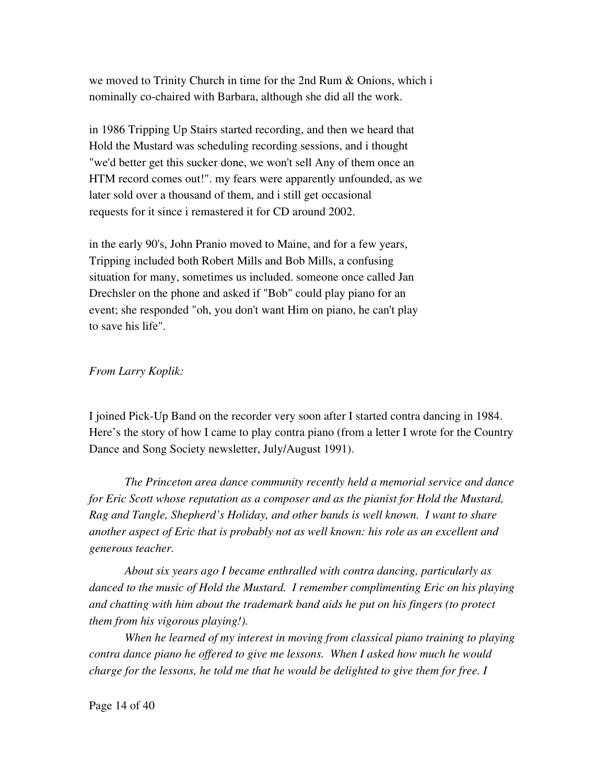we moved to Trinity Church in time for the 2nd Rum & Onions, which i nominally co-chaired with Barbara, although she did all the work.

in 1986 Tripping Up Stairs started recording, and then we heard that Hold the Mustard was scheduling recording sessions, and i thought "we'd better get this sucker done, we won't sell Any of them once an HTM record comes out!". my fears were apparently unfounded, as we later sold over a thousand of them, and i still get occasional requests for it since i remastered it for CD around 2002.

in the early 90's, John Pranio moved to Maine, and for a few years, Tripping included both Robert Mills and Bob Mills, a confusing situation for many, sometimes us included. someone once called Jan Drechsler on the phone and asked if "Bob" could play piano for an event; she responded "oh, you don't want Him on piano, he can't play to save his life".

#### *From Larry Koplik:*

I joined Pick-Up Band on the recorder very soon after I started contra dancing in 1984. Here's the story of how I came to play contra piano (from a letter I wrote for the Country Dance and Song Society newsletter, July/August 1991).

*The Princeton area dance community recently held a memorial service and dance for Eric Scott whose reputation as a composer and as the pianist for Hold the Mustard, Rag and Tangle, Shepherd's Holiday, and other bands is well known. I want to share another aspect of Eric that is probably not as well known: his role as an excellent and generous teacher.*

*About six years ago I became enthralled with contra dancing, particularly as danced to the music of Hold the Mustard. I remember complimenting Eric on his playing and chatting with him about the trademark band aids he put on his fingers (to protect them from his vigorous playing!).*

*When he learned of my interest in moving from classical piano training to playing contra dance piano he offered to give me lessons. When I asked how much he would charge for the lessons, he told me that he would be delighted to give them for free. I*

Page 14 of 40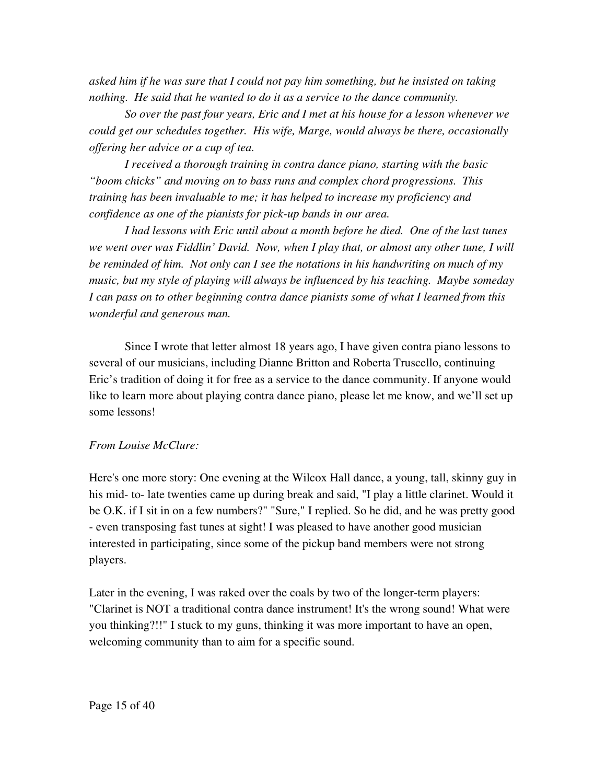*asked him if he was sure that I could not pay him something, but he insisted on taking nothing. He said that he wanted to do it as a service to the dance community.*

*So over the past four years, Eric and I met at his house for a lesson whenever we could get our schedules together. His wife, Marge, would always be there, occasionally offering her advice or a cup of tea.*

*I received a thorough training in contra dance piano, starting with the basic "boom chicks" and moving on to bass runs and complex chord progressions. This training has been invaluable to me; it has helped to increase my proficiency and confidence as one of the pianists for pick-up bands in our area.* 

*I had lessons with Eric until about a month before he died. One of the last tunes we went over was Fiddlin' David. Now, when I play that, or almost any other tune, I will be reminded of him. Not only can I see the notations in his handwriting on much of my music, but my style of playing will always be influenced by his teaching. Maybe someday I can pass on to other beginning contra dance pianists some of what I learned from this wonderful and generous man.*

Since I wrote that letter almost 18 years ago, I have given contra piano lessons to several of our musicians, including Dianne Britton and Roberta Truscello, continuing Eric's tradition of doing it for free as a service to the dance community. If anyone would like to learn more about playing contra dance piano, please let me know, and we'll set up some lessons!

#### *From Louise McClure:*

Here's one more story: One evening at the Wilcox Hall dance, a young, tall, skinny guy in his mid- to-late twenties came up during break and said, "I play a little clarinet. Would it be O.K. if I sit in on a few numbers?" "Sure," I replied. So he did, and he was pretty good even transposing fast tunes at sight! I was pleased to have another good musician interested in participating, since some of the pickup band members were not strong players.

Later in the evening, I was raked over the coals by two of the longer-term players: "Clarinet is NOT a traditional contra dance instrument! It's the wrong sound! What were you thinking?!!" I stuck to my guns, thinking it was more important to have an open, welcoming community than to aim for a specific sound.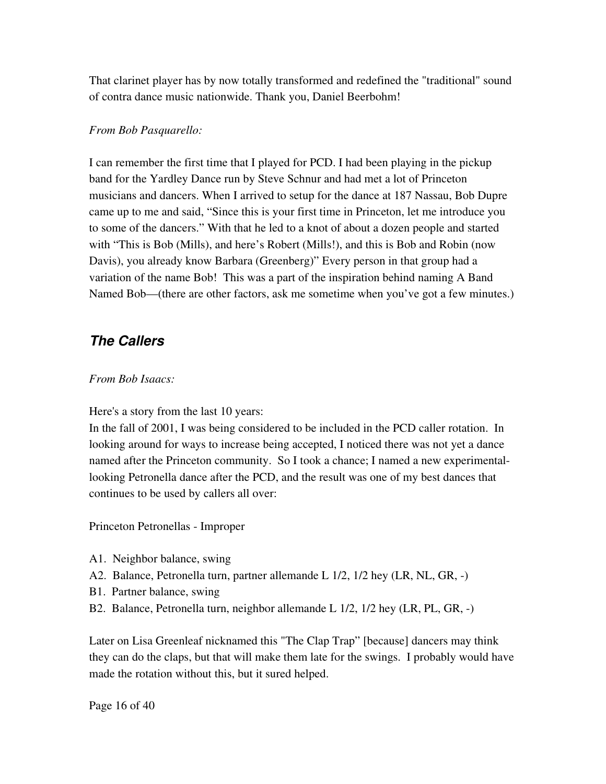That clarinet player has by now totally transformed and redefined the "traditional" sound of contra dance music nationwide. Thank you, Daniel Beerbohm!

#### *From Bob Pasquarello:*

I can remember the first time that I played for PCD. I had been playing in the pickup band for the Yardley Dance run by Steve Schnur and had met a lot of Princeton musicians and dancers. When I arrived to setup for the dance at 187 Nassau, Bob Dupre came up to me and said, "Since this is your first time in Princeton, let me introduce you to some of the dancers." With that he led to a knot of about a dozen people and started with "This is Bob (Mills), and here's Robert (Mills!), and this is Bob and Robin (now Davis), you already know Barbara (Greenberg)" Every person in that group had a variation of the name Bob! This was a part of the inspiration behind naming A Band Named Bob—(there are other factors, ask me sometime when you've got a few minutes.)

### *The Callers*

#### *From Bob Isaacs:*

Here's a story from the last 10 years:

In the fall of 2001, I was being considered to be included in the PCD caller rotation. In looking around for ways to increase being accepted, I noticed there was not yet a dance named after the Princeton community. So I took a chance; I named a new experimentallooking Petronella dance after the PCD, and the result was one of my best dances that continues to be used by callers all over:

Princeton Petronellas - Improper

- A1. Neighbor balance, swing
- A2. Balance, Petronella turn, partner allemande L 1/2, 1/2 hey (LR, NL, GR, -)
- B1. Partner balance, swing
- B2. Balance, Petronella turn, neighbor allemande L 1/2, 1/2 hey (LR, PL, GR, -)

Later on Lisa Greenleaf nicknamed this "The Clap Trap" [because] dancers may think they can do the claps, but that will make them late for the swings. I probably would have made the rotation without this, but it sured helped.

Page 16 of 40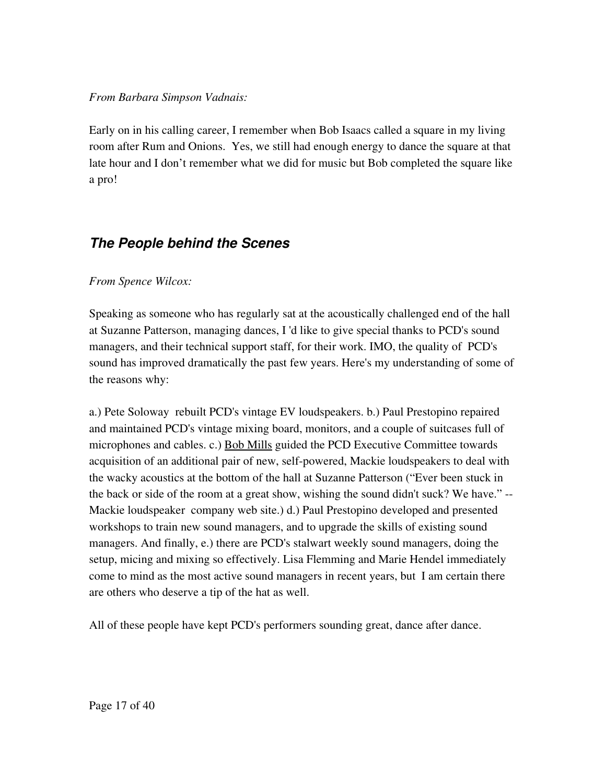### *From Barbara Simpson Vadnais:*

Early on in his calling career, I remember when Bob Isaacs called a square in my living room after Rum and Onions. Yes, we still had enough energy to dance the square at that late hour and I don't remember what we did for music but Bob completed the square like a pro!

### *The People behind the Scenes*

### *From Spence Wilcox:*

Speaking as someone who has regularly sat at the acoustically challenged end of the hall at Suzanne Patterson, managing dances, I 'd like to give special thanks to PCD's sound managers, and their technical support staff, for their work. IMO, the quality of PCD's sound has improved dramatically the past few years. Here's my understanding of some of the reasons why:

a.) Pete Soloway rebuilt PCD's vintage EV loudspeakers. b.) Paul Prestopino repaired and maintained PCD's vintage mixing board, monitors, and a couple of suitcases full of microphones and cables. c.) [Bob Mills](http://www.bobmills.org/) guided the PCD Executive Committee towards acquisition of an additional pair of new, self-powered, Mackie loudspeakers to deal with the wacky acoustics at the bottom of the hall at Suzanne Patterson ("Ever been stuck in the back or side of the room at a great show, wishing the sound didn't suck? We have." Mackie loudspeaker company web site.) d.) Paul Prestopino developed and presented workshops to train new sound managers, and to upgrade the skills of existing sound managers. And finally, e.) there are PCD's stalwart weekly sound managers, doing the setup, micing and mixing so effectively. Lisa Flemming and Marie Hendel immediately come to mind as the most active sound managers in recent years, but I am certain there are others who deserve a tip of the hat as well.

All of these people have kept PCD's performers sounding great, dance after dance.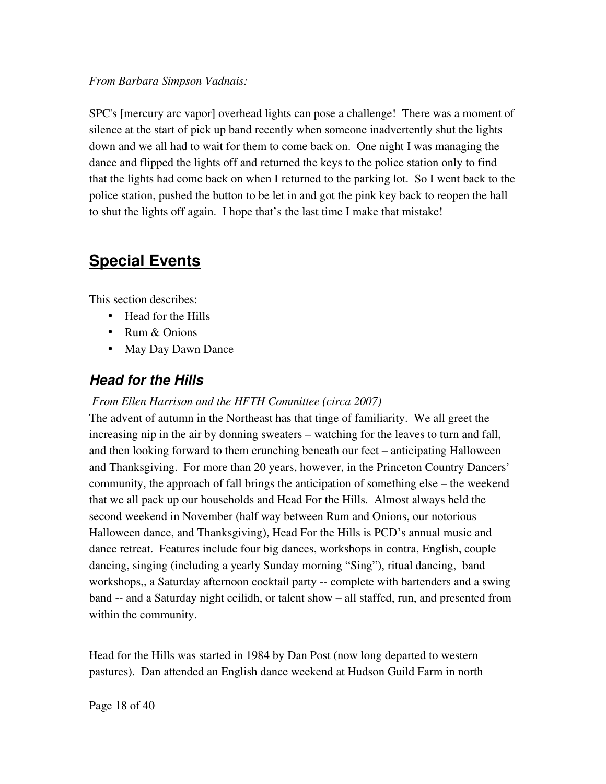### *From Barbara Simpson Vadnais:*

SPC's [mercury arc vapor] overhead lights can pose a challenge! There was a moment of silence at the start of pick up band recently when someone inadvertently shut the lights down and we all had to wait for them to come back on. One night I was managing the dance and flipped the lights off and returned the keys to the police station only to find that the lights had come back on when I returned to the parking lot. So I went back to the police station, pushed the button to be let in and got the pink key back to reopen the hall to shut the lights off again. I hope that's the last time I make that mistake!

## **Special Events**

This section describes:

- Head for the Hills
- Rum & Onions
- May Day Dawn Dance

### *Head for the Hills*

### *From Ellen Harrison and the HFTH Committee (circa 2007)*

The advent of autumn in the Northeast has that tinge of familiarity. We all greet the increasing nip in the air by donning sweaters – watching for the leaves to turn and fall, and then looking forward to them crunching beneath our feet – anticipating Halloween and Thanksgiving. For more than 20 years, however, in the Princeton Country Dancers' community, the approach of fall brings the anticipation of something else – the weekend that we all pack up our households and Head For the Hills. Almost always held the second weekend in November (half way between Rum and Onions, our notorious Halloween dance, and Thanksgiving), Head For the Hills is PCD's annual music and dance retreat. Features include four big dances, workshops in contra, English, couple dancing, singing (including a yearly Sunday morning "Sing"), ritual dancing, band workshops,, a Saturday afternoon cocktail party -- complete with bartenders and a swing band -- and a Saturday night ceilidh, or talent show – all staffed, run, and presented from within the community.

Head for the Hills was started in 1984 by Dan Post (now long departed to western pastures). Dan attended an English dance weekend at Hudson Guild Farm in north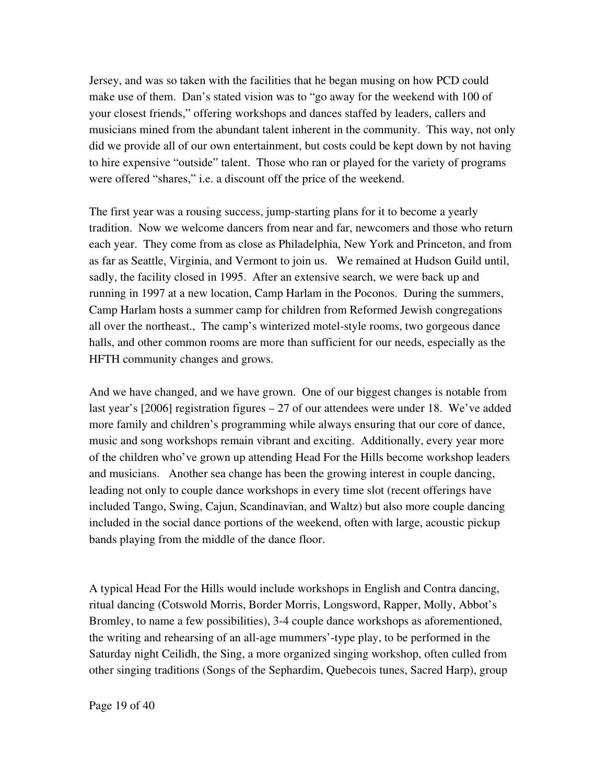Jersey, and was so taken with the facilities that he began musing on how PCD could make use of them. Dan's stated vision was to "go away for the weekend with 100 of your closest friends," offering workshops and dances staffed by leaders, callers and musicians mined from the abundant talent inherent in the community. This way, not only did we provide all of our own entertainment, but costs could be kept down by not having to hire expensive "outside" talent. Those who ran or played for the variety of programs were offered "shares," i.e. a discount off the price of the weekend.

The first year was a rousing success, jump-starting plans for it to become a yearly tradition. Now we welcome dancers from near and far, newcomers and those who return each year. They come from as close as Philadelphia, New York and Princeton, and from as far as Seattle, Virginia, and Vermont to join us. We remained at Hudson Guild until, sadly, the facility closed in 1995. After an extensive search, we were back up and running in 1997 at a new location, Camp Harlam in the Poconos. During the summers, Camp Harlam hosts a summer camp for children from Reformed Jewish congregations all over the northeast., The camp's winterized motel-style rooms, two gorgeous dance halls, and other common rooms are more than sufficient for our needs, especially as the HFTH community changes and grows.

And we have changed, and we have grown. One of our biggest changes is notable from last year's [2006] registration figures – 27 of our attendees were under 18. We've added more family and children's programming while always ensuring that our core of dance, music and song workshops remain vibrant and exciting. Additionally, every year more of the children who've grown up attending Head For the Hills become workshop leaders and musicians. Another sea change has been the growing interest in couple dancing, leading not only to couple dance workshops in every time slot (recent offerings have included Tango, Swing, Cajun, Scandinavian, and Waltz) but also more couple dancing included in the social dance portions of the weekend, often with large, acoustic pickup bands playing from the middle of the dance floor.

A typical Head For the Hills would include workshops in English and Contra dancing, ritual dancing (Cotswold Morris, Border Morris, Longsword, Rapper, Molly, Abbot's Bromley, to name a few possibilities), 34 couple dance workshops as aforementioned, the writing and rehearsing of an all-age mummers'-type play, to be performed in the Saturday night Ceilidh, the Sing, a more organized singing workshop, often culled from other singing traditions (Songs of the Sephardim, Quebecois tunes, Sacred Harp), group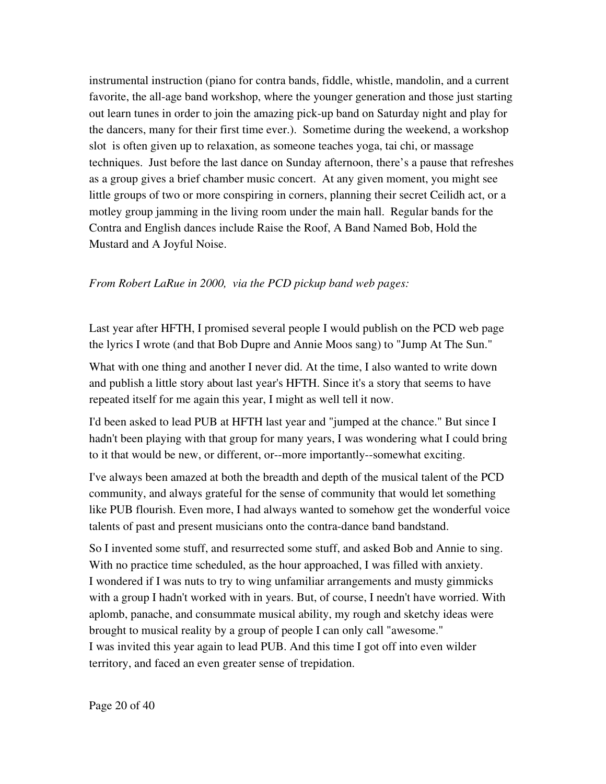instrumental instruction (piano for contra bands, fiddle, whistle, mandolin, and a current favorite, the all-age band workshop, where the younger generation and those just starting out learn tunes in order to join the amazing pick-up band on Saturday night and play for the dancers, many for their first time ever.). Sometime during the weekend, a workshop slot is often given up to relaxation, as someone teaches yoga, tai chi, or massage techniques. Just before the last dance on Sunday afternoon, there's a pause that refreshes as a group gives a brief chamber music concert. At any given moment, you might see little groups of two or more conspiring in corners, planning their secret Ceilidh act, or a motley group jamming in the living room under the main hall. Regular bands for the Contra and English dances include Raise the Roof, A Band Named Bob, Hold the Mustard and A Joyful Noise.

#### *From Robert LaRue in 2000, via the PCD pickup band web pages:*

Last year after HFTH, I promised several people I would publish on the PCD web page the lyrics I wrote (and that Bob Dupre and Annie Moos sang) to "Jump At The Sun."

What with one thing and another I never did. At the time, I also wanted to write down and publish a little story about last year's HFTH. Since it's a story that seems to have repeated itself for me again this year, I might as well tell it now.

I'd been asked to lead PUB at HFTH last year and "jumped at the chance." But since I hadn't been playing with that group for many years, I was wondering what I could bring to it that would be new, or different, or--more importantly--somewhat exciting.

I've always been amazed at both the breadth and depth of the musical talent of the PCD community, and always grateful for the sense of community that would let something like PUB flourish. Even more, I had always wanted to somehow get the wonderful voice talents of past and present musicians onto the contra-dance band bandstand.

So I invented some stuff, and resurrected some stuff, and asked Bob and Annie to sing. With no practice time scheduled, as the hour approached, I was filled with anxiety. I wondered if I was nuts to try to wing unfamiliar arrangements and musty gimmicks with a group I hadn't worked with in years. But, of course, I needn't have worried. With aplomb, panache, and consummate musical ability, my rough and sketchy ideas were brought to musical reality by a group of people I can only call "awesome." I was invited this year again to lead PUB. And this time I got off into even wilder territory, and faced an even greater sense of trepidation.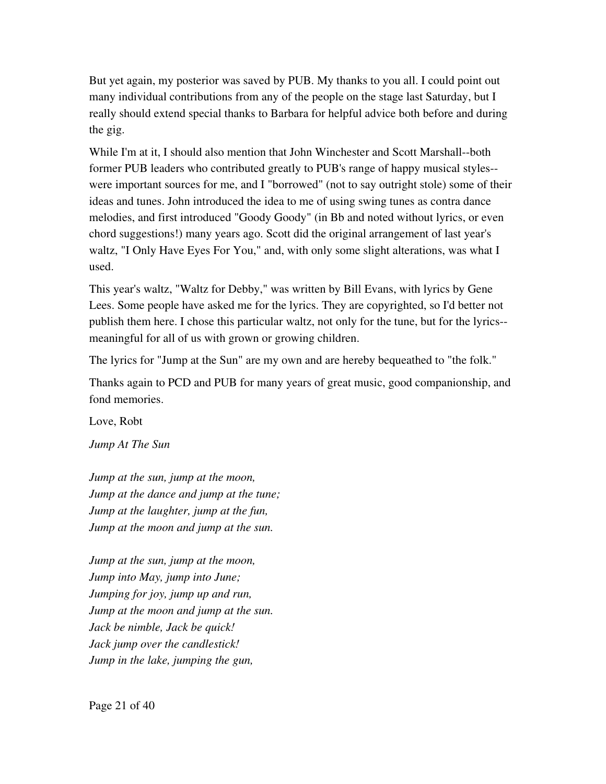But yet again, my posterior was saved by PUB. My thanks to you all. I could point out many individual contributions from any of the people on the stage last Saturday, but I really should extend special thanks to Barbara for helpful advice both before and during the gig.

While I'm at it, I should also mention that John Winchester and Scott Marshall--both former PUB leaders who contributed greatly to PUB's range of happy musical styles were important sources for me, and I "borrowed" (not to say outright stole) some of their ideas and tunes. John introduced the idea to me of using swing tunes as contra dance melodies, and first introduced "Goody Goody" (in Bb and noted without lyrics, or even chord suggestions!) many years ago. Scott did the original arrangement of last year's waltz, "I Only Have Eyes For You," and, with only some slight alterations, was what I used.

This year's waltz, "Waltz for Debby," was written by Bill Evans, with lyrics by Gene Lees. Some people have asked me for the lyrics. They are copyrighted, so I'd better not publish them here. I chose this particular waltz, not only for the tune, but for the lyrics meaningful for all of us with grown or growing children.

The lyrics for "Jump at the Sun" are my own and are hereby bequeathed to "the folk."

Thanks again to PCD and PUB for many years of great music, good companionship, and fond memories.

Love, Robt

*Jump At The Sun*

*Jump at the sun, jump at the moon, Jump at the dance and jump at the tune; Jump at the laughter, jump at the fun, Jump at the moon and jump at the sun.*

*Jump at the sun, jump at the moon, Jump into May, jump into June; Jumping for joy, jump up and run, Jump at the moon and jump at the sun. Jack be nimble, Jack be quick! Jack jump over the candlestick! Jump in the lake, jumping the gun,*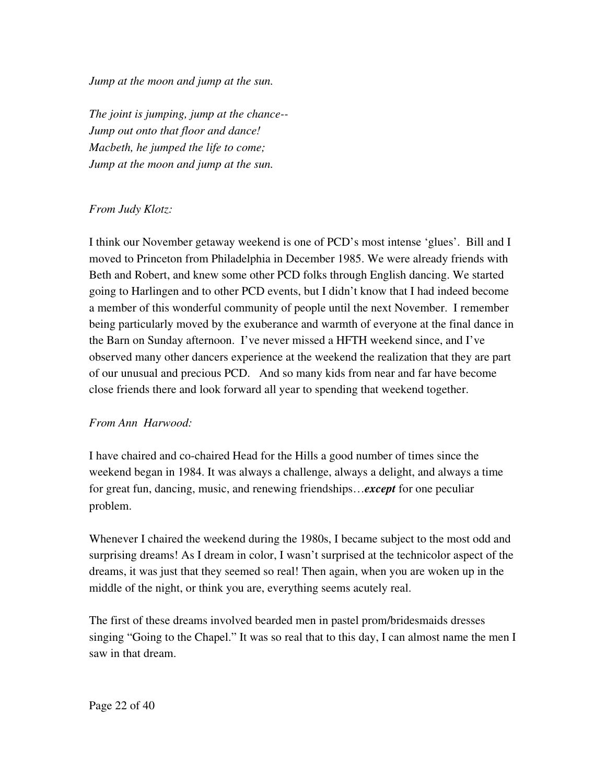*Jump at the moon and jump at the sun.*

*The joint is jumping, jump at the chance Jump out onto that floor and dance! Macbeth, he jumped the life to come; Jump at the moon and jump at the sun.*

### *From Judy Klotz:*

I think our November getaway weekend is one of PCD's most intense 'glues'. Bill and I moved to Princeton from Philadelphia in December 1985. We were already friends with Beth and Robert, and knew some other PCD folks through English dancing. We started going to Harlingen and to other PCD events, but I didn't know that I had indeed become a member of this wonderful community of people until the next November. I remember being particularly moved by the exuberance and warmth of everyone at the final dance in the Barn on Sunday afternoon. I've never missed a HFTH weekend since, and I've observed many other dancers experience at the weekend the realization that they are part of our unusual and precious PCD. And so many kids from near and far have become close friends there and look forward all year to spending that weekend together.

### *From Ann Harwood:*

I have chaired and cochaired Head for the Hills a good number of times since the weekend began in 1984. It was always a challenge, always a delight, and always a time for great fun, dancing, music, and renewing friendships…*except* for one peculiar problem.

Whenever I chaired the weekend during the 1980s, I became subject to the most odd and surprising dreams! As I dream in color, I wasn't surprised at the technicolor aspect of the dreams, it was just that they seemed so real! Then again, when you are woken up in the middle of the night, or think you are, everything seems acutely real.

The first of these dreams involved bearded men in pastel prom/bridesmaids dresses singing "Going to the Chapel." It was so real that to this day, I can almost name the men I saw in that dream.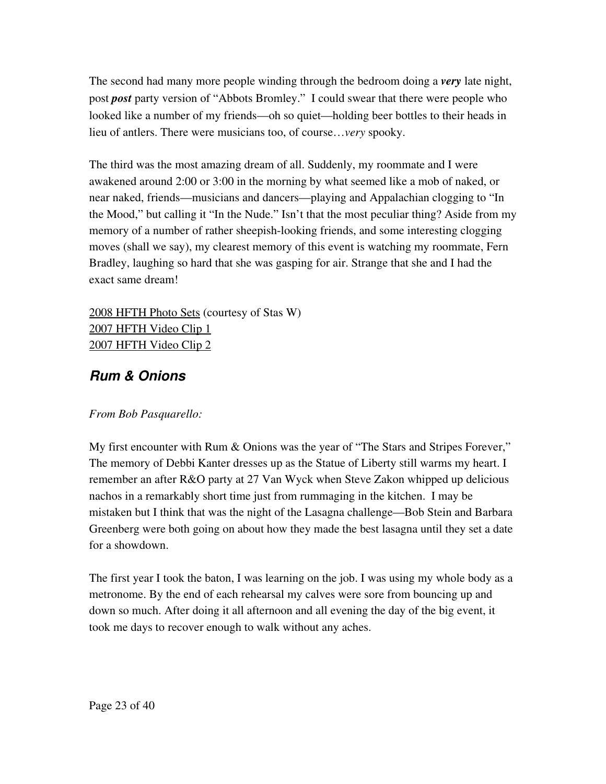The second had many more people winding through the bedroom doing a *very* late night, post *post* party version of "Abbots Bromley." I could swear that there were people who looked like a number of my friends—oh so quiet—holding beer bottles to their heads in lieu of antlers. There were musicians too, of course…*very* spooky.

The third was the most amazing dream of all. Suddenly, my roommate and I were awakened around 2:00 or 3:00 in the morning by what seemed like a mob of naked, or near naked, friends—musicians and dancers—playing and Appalachian clogging to "In the Mood," but calling it "In the Nude." Isn't that the most peculiar thing? Aside from my memory of a number of rather sheepish-looking friends, and some interesting clogging moves (shall we say), my clearest memory of this event is watching my roommate, Fern Bradley, laughing so hard that she was gasping for air. Strange that she and I had the exact same dream!

[2008 HFTH Photo Sets](http://www.flickr.com/photos/staspix/collections/72157609049005368/) (courtesy of Stas W) [2007 HFTH Video Clip 1](http://www.youtube.com/watch?v=oWvEzh2Vas0&feature=channel_page) [2007 HFTH Video Clip 2](http://www.youtube.com/watch?v=S1oFYy4iWpQ)

### *Rum & Onions*

### *From Bob Pasquarello:*

My first encounter with Rum & Onions was the year of "The Stars and Stripes Forever," The memory of Debbi Kanter dresses up as the Statue of Liberty still warms my heart. I remember an after R&O party at 27 Van Wyck when Steve Zakon whipped up delicious nachos in a remarkably short time just from rummaging in the kitchen. I may be mistaken but I think that was the night of the Lasagna challenge—Bob Stein and Barbara Greenberg were both going on about how they made the best lasagna until they set a date for a showdown.

The first year I took the baton, I was learning on the job. I was using my whole body as a metronome. By the end of each rehearsal my calves were sore from bouncing up and down so much. After doing it all afternoon and all evening the day of the big event, it took me days to recover enough to walk without any aches.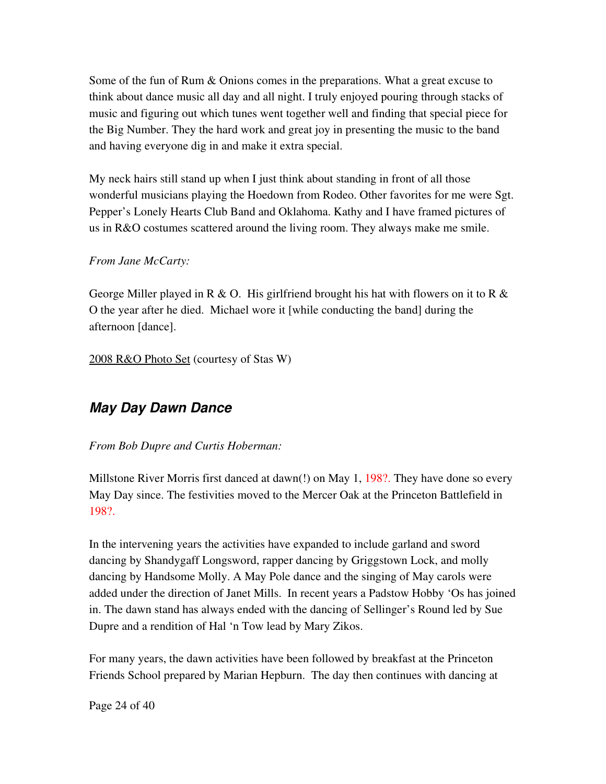Some of the fun of Rum & Onions comes in the preparations. What a great excuse to think about dance music all day and all night. I truly enjoyed pouring through stacks of music and figuring out which tunes went together well and finding that special piece for the Big Number. They the hard work and great joy in presenting the music to the band and having everyone dig in and make it extra special.

My neck hairs still stand up when I just think about standing in front of all those wonderful musicians playing the Hoedown from Rodeo. Other favorites for me were Sgt. Pepper's Lonely Hearts Club Band and Oklahoma. Kathy and I have framed pictures of us in R&O costumes scattered around the living room. They always make me smile.

*From Jane McCarty:*

George Miller played in R & O. His girlfriend brought his hat with flowers on it to R  $\&$ O the year after he died. Michael wore it [while conducting the band] during the afternoon [dance].

[2008 R&O Photo Set](http://www.flickr.com/photos/staspix/sets/72157608431838764/) (courtesy of Stas W)

### *May Day Dawn Dance*

#### *From Bob Dupre and Curtis Hoberman:*

Millstone River Morris first danced at dawn(!) on May 1, 198?. They have done so every May Day since. The festivities moved to the Mercer Oak at the Princeton Battlefield in 198?.

In the intervening years the activities have expanded to include garland and sword dancing by Shandygaff Longsword, rapper dancing by Griggstown Lock, and molly dancing by Handsome Molly. A May Pole dance and the singing of May carols were added under the direction of Janet Mills. In recent years a Padstow Hobby 'Os has joined in. The dawn stand has always ended with the dancing of Sellinger's Round led by Sue Dupre and a rendition of Hal 'n Tow lead by Mary Zikos.

For many years, the dawn activities have been followed by breakfast at the Princeton Friends School prepared by Marian Hepburn. The day then continues with dancing at

Page 24 of 40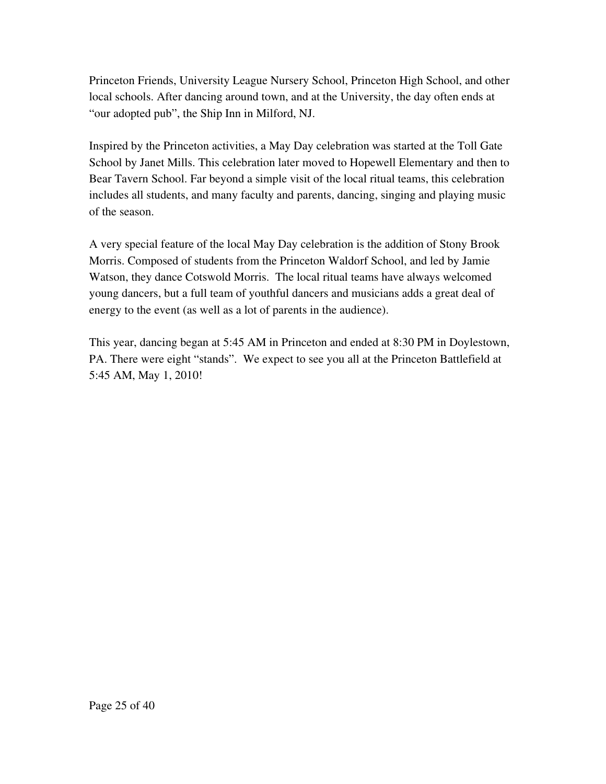Princeton Friends, University League Nursery School, Princeton High School, and other local schools. After dancing around town, and at the University, the day often ends at "our adopted pub", the Ship Inn in Milford, NJ.

Inspired by the Princeton activities, a May Day celebration was started at the Toll Gate School by Janet Mills. This celebration later moved to Hopewell Elementary and then to Bear Tavern School. Far beyond a simple visit of the local ritual teams, this celebration includes all students, and many faculty and parents, dancing, singing and playing music of the season.

A very special feature of the local May Day celebration is the addition of Stony Brook Morris. Composed of students from the Princeton Waldorf School, and led by Jamie Watson, they dance Cotswold Morris. The local ritual teams have always welcomed young dancers, but a full team of youthful dancers and musicians adds a great deal of energy to the event (as well as a lot of parents in the audience).

This year, dancing began at 5:45 AM in Princeton and ended at 8:30 PM in Doylestown, PA. There were eight "stands". We expect to see you all at the Princeton Battlefield at 5:45 AM, May 1, 2010!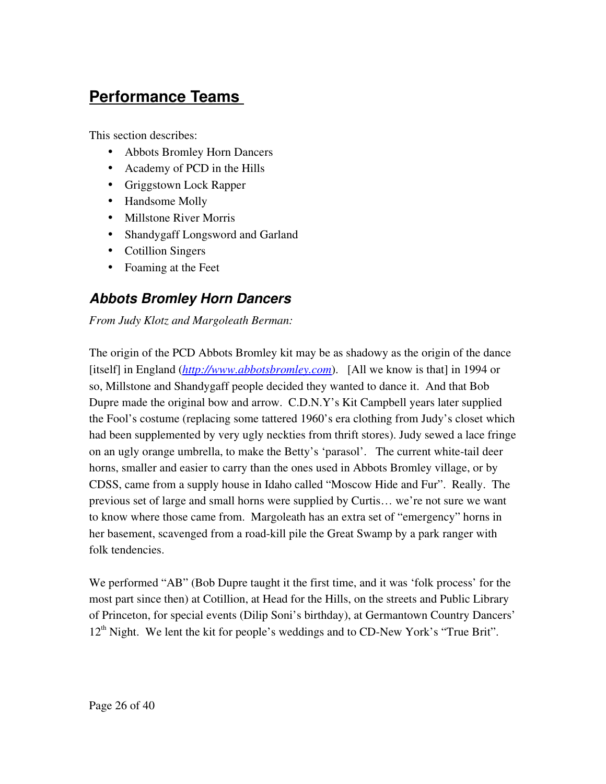## **Performance Teams**

This section describes:

- Abbots Bromley Horn Dancers
- Academy of PCD in the Hills
- Griggstown Lock Rapper
- Handsome Molly
- Millstone River Morris
- Shandygaff Longsword and Garland
- Cotillion Singers
- Foaming at the Feet

### *Abbots Bromley Horn Dancers*

*From Judy Klotz and Margoleath Berman:*

The origin of the PCD Abbots Bromley kit may be as shadowy as the origin of the dance [itself] in England (*http://www.abbotsbromley.com*). [All we know is that] in 1994 or so, Millstone and Shandygaff people decided they wanted to dance it. And that Bob Dupre made the original bow and arrow. C.D.N.Y's Kit Campbell years later supplied the Fool's costume (replacing some tattered 1960's era clothing from Judy's closet which had been supplemented by very ugly neckties from thrift stores). Judy sewed a lace fringe on an ugly orange umbrella, to make the Betty's 'parasol'. The current white-tail deer horns, smaller and easier to carry than the ones used in Abbots Bromley village, or by CDSS, came from a supply house in Idaho called "Moscow Hide and Fur". Really. The previous set of large and small horns were supplied by Curtis… we're not sure we want to know where those came from. Margoleath has an extra set of "emergency" horns in her basement, scavenged from a road-kill pile the Great Swamp by a park ranger with folk tendencies.

We performed "AB" (Bob Dupre taught it the first time, and it was 'folk process' for the most part since then) at Cotillion, at Head for the Hills, on the streets and Public Library of Princeton, for special events (Dilip Soni's birthday), at Germantown Country Dancers'  $12<sup>th</sup>$  Night. We lent the kit for people's weddings and to CD-New York's "True Brit".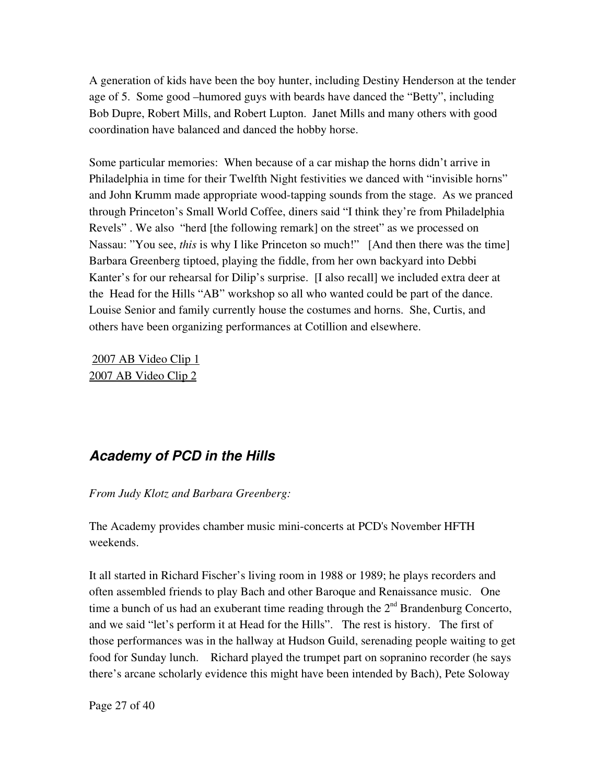A generation of kids have been the boy hunter, including Destiny Henderson at the tender age of 5. Some good –humored guys with beards have danced the "Betty", including Bob Dupre, Robert Mills, and Robert Lupton. Janet Mills and many others with good coordination have balanced and danced the hobby horse.

Some particular memories: When because of a car mishap the horns didn't arrive in Philadelphia in time for their Twelfth Night festivities we danced with "invisible horns" and John Krumm made appropriate wood-tapping sounds from the stage. As we pranced through Princeton's Small World Coffee, diners said "I think they're from Philadelphia Revels". We also "herd [the following remark] on the street" as we processed on Nassau: "You see, *this* is why I like Princeton so much!" [And then there was the time] Barbara Greenberg tiptoed, playing the fiddle, from her own backyard into Debbi Kanter's for our rehearsal for Dilip's surprise. [I also recall] we included extra deer at the Head for the Hills "AB" workshop so all who wanted could be part of the dance. Louise Senior and family currently house the costumes and horns. She, Curtis, and others have been organizing performances at Cotillion and elsewhere.

[2007 AB Video Clip 1](http://www.youtube.com/watch?v=BGn2vuFkN5E) [2007 AB Video Clip 2](http://www.youtube.com/watch?v=wVBS8XSXyUc)

### *Academy of PCD in the Hills*

*From Judy Klotz and Barbara Greenberg:*

The Academy provides chamber music mini-concerts at PCD's November HFTH weekends.

It all started in Richard Fischer's living room in 1988 or 1989; he plays recorders and often assembled friends to play Bach and other Baroque and Renaissance music. One time a bunch of us had an exuberant time reading through the  $2<sup>nd</sup>$  Brandenburg Concerto, and we said "let's perform it at Head for the Hills". The rest is history. The first of those performances was in the hallway at Hudson Guild, serenading people waiting to get food for Sunday lunch. Richard played the trumpet part on sopranino recorder (he says there's arcane scholarly evidence this might have been intended by Bach), Pete Soloway

Page 27 of 40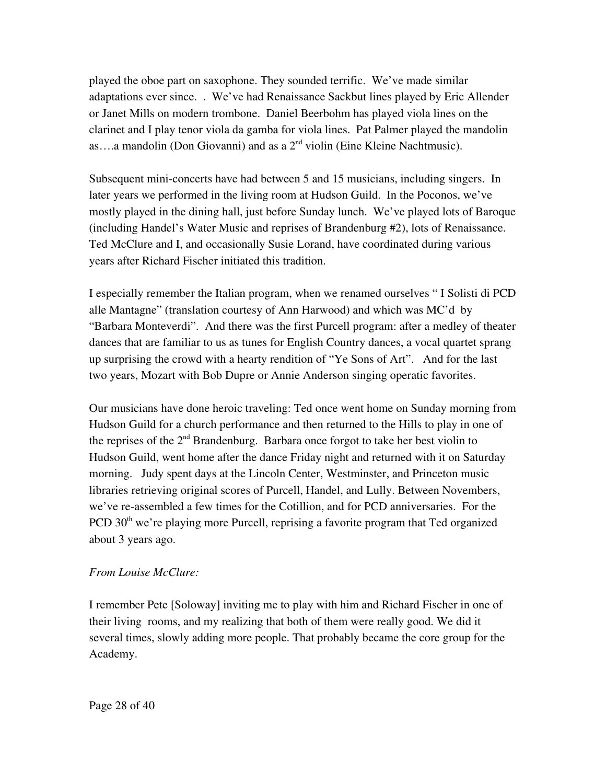played the oboe part on saxophone. They sounded terrific. We've made similar adaptations ever since. . We've had Renaissance Sackbut lines played by Eric Allender or Janet Mills on modern trombone. Daniel Beerbohm has played viola lines on the clarinet and I play tenor viola da gamba for viola lines. Pat Palmer played the mandolin as....a mandolin (Don Giovanni) and as a  $2<sup>nd</sup>$  violin (Eine Kleine Nachtmusic).

Subsequent mini-concerts have had between 5 and 15 musicians, including singers. In later years we performed in the living room at Hudson Guild. In the Poconos, we've mostly played in the dining hall, just before Sunday lunch. We've played lots of Baroque (including Handel's Water Music and reprises of Brandenburg #2), lots of Renaissance. Ted McClure and I, and occasionally Susie Lorand, have coordinated during various years after Richard Fischer initiated this tradition.

I especially remember the Italian program, when we renamed ourselves " I Solisti di PCD alle Mantagne" (translation courtesy of Ann Harwood) and which was MC'd by "Barbara Monteverdi". And there was the first Purcell program: after a medley of theater dances that are familiar to us as tunes for English Country dances, a vocal quartet sprang up surprising the crowd with a hearty rendition of "Ye Sons of Art". And for the last two years, Mozart with Bob Dupre or Annie Anderson singing operatic favorites.

Our musicians have done heroic traveling: Ted once went home on Sunday morning from Hudson Guild for a church performance and then returned to the Hills to play in one of the reprises of the  $2<sup>nd</sup>$  Brandenburg. Barbara once forgot to take her best violin to Hudson Guild, went home after the dance Friday night and returned with it on Saturday morning. Judy spent days at the Lincoln Center, Westminster, and Princeton music libraries retrieving original scores of Purcell, Handel, and Lully. Between Novembers, we've re-assembled a few times for the Cotillion, and for PCD anniversaries. For the PCD 30<sup>th</sup> we're playing more Purcell, reprising a favorite program that Ted organized about 3 years ago.

#### *From Louise McClure:*

I remember Pete [Soloway] inviting me to play with him and Richard Fischer in one of their living rooms, and my realizing that both of them were really good. We did it several times, slowly adding more people. That probably became the core group for the Academy.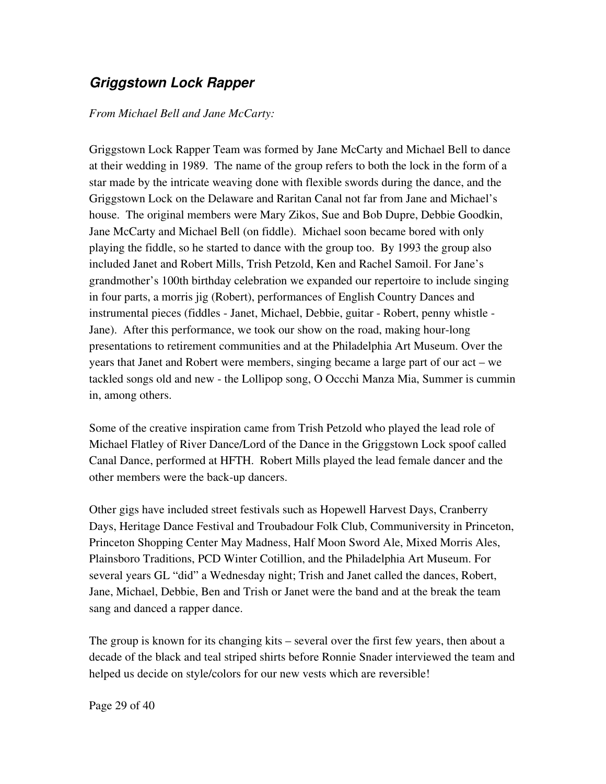### *Griggstown Lock Rapper*

### *From Michael Bell and Jane McCarty:*

Griggstown Lock Rapper Team was formed by Jane McCarty and Michael Bell to dance at their wedding in 1989. The name of the group refers to both the lock in the form of a star made by the intricate weaving done with flexible swords during the dance, and the Griggstown Lock on the Delaware and Raritan Canal not far from Jane and Michael's house. The original members were Mary Zikos, Sue and Bob Dupre, Debbie Goodkin, Jane McCarty and Michael Bell (on fiddle). Michael soon became bored with only playing the fiddle, so he started to dance with the group too. By 1993 the group also included Janet and Robert Mills, Trish Petzold, Ken and Rachel Samoil. For Jane's grandmother's 100th birthday celebration we expanded our repertoire to include singing in four parts, a morris jig (Robert), performances of English Country Dances and instrumental pieces (fiddles - Janet, Michael, Debbie, guitar - Robert, penny whistle -Jane). After this performance, we took our show on the road, making hour-long presentations to retirement communities and at the Philadelphia Art Museum. Over the years that Janet and Robert were members, singing became a large part of our act – we tackled songs old and new the Lollipop song, O Occchi Manza Mia, Summer is cummin in, among others.

Some of the creative inspiration came from Trish Petzold who played the lead role of Michael Flatley of River Dance/Lord of the Dance in the Griggstown Lock spoof called Canal Dance, performed at HFTH. Robert Mills played the lead female dancer and the other members were the back-up dancers.

Other gigs have included street festivals such as Hopewell Harvest Days, Cranberry Days, Heritage Dance Festival and Troubadour Folk Club, Communiversity in Princeton, Princeton Shopping Center May Madness, Half Moon Sword Ale, Mixed Morris Ales, Plainsboro Traditions, PCD Winter Cotillion, and the Philadelphia Art Museum. For several years GL "did" a Wednesday night; Trish and Janet called the dances, Robert, Jane, Michael, Debbie, Ben and Trish or Janet were the band and at the break the team sang and danced a rapper dance.

The group is known for its changing kits – several over the first few years, then about a decade of the black and teal striped shirts before Ronnie Snader interviewed the team and helped us decide on style/colors for our new vests which are reversible!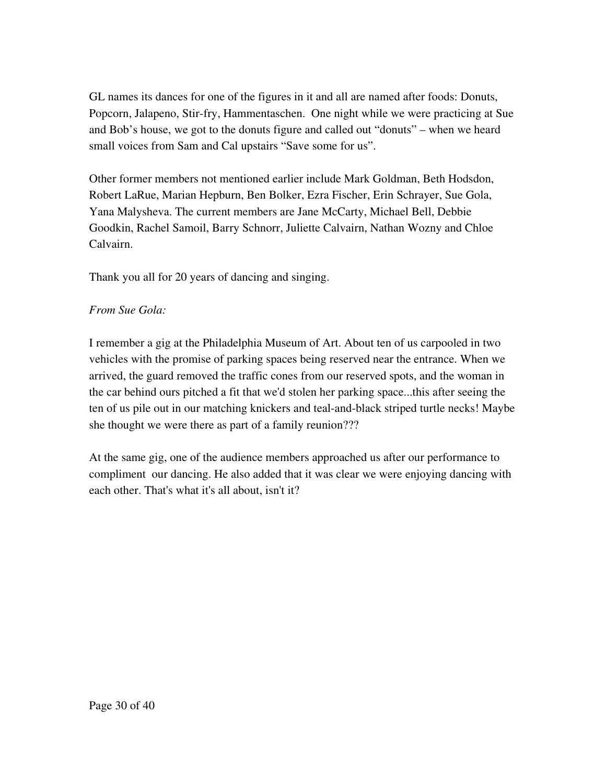GL names its dances for one of the figures in it and all are named after foods: Donuts, Popcorn, Jalapeno, Stir-fry, Hammentaschen. One night while we were practicing at Sue and Bob's house, we got to the donuts figure and called out "donuts" – when we heard small voices from Sam and Cal upstairs "Save some for us".

Other former members not mentioned earlier include Mark Goldman, Beth Hodsdon, Robert LaRue, Marian Hepburn, Ben Bolker, Ezra Fischer, Erin Schrayer, Sue Gola, Yana Malysheva. The current members are Jane McCarty, Michael Bell, Debbie Goodkin, Rachel Samoil, Barry Schnorr, Juliette Calvairn, Nathan Wozny and Chloe Calvairn.

Thank you all for 20 years of dancing and singing.

### *From Sue Gola:*

I remember a gig at the Philadelphia Museum of Art. About ten of us carpooled in two vehicles with the promise of parking spaces being reserved near the entrance. When we arrived, the guard removed the traffic cones from our reserved spots, and the woman in the car behind ours pitched a fit that we'd stolen her parking space...this after seeing the ten of us pile out in our matching knickers and teal-and-black striped turtle necks! Maybe she thought we were there as part of a family reunion???

At the same gig, one of the audience members approached us after our performance to compliment our dancing. He also added that it was clear we were enjoying dancing with each other. That's what it's all about, isn't it?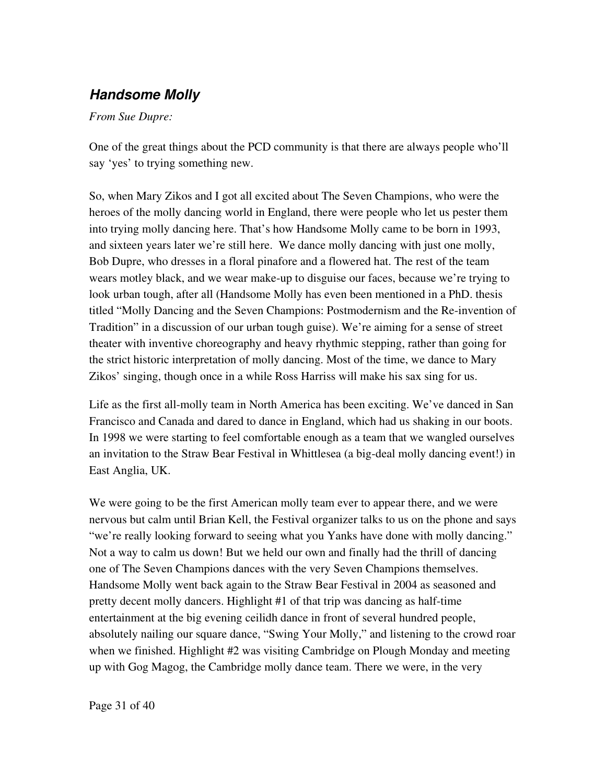### *Handsome Molly*

*From Sue Dupre:*

One of the great things about the PCD community is that there are always people who'll say 'yes' to trying something new.

So, when Mary Zikos and I got all excited about The Seven Champions, who were the heroes of the molly dancing world in England, there were people who let us pester them into trying molly dancing here. That's how Handsome Molly came to be born in 1993, and sixteen years later we're still here. We dance molly dancing with just one molly, Bob Dupre, who dresses in a floral pinafore and a flowered hat. The rest of the team wears motley black, and we wear make-up to disguise our faces, because we're trying to look urban tough, after all (Handsome Molly has even been mentioned in a PhD. thesis titled "Molly Dancing and the Seven Champions: Postmodernism and the Re-invention of Tradition" in a discussion of our urban tough guise). We're aiming for a sense of street theater with inventive choreography and heavy rhythmic stepping, rather than going for the strict historic interpretation of molly dancing. Most of the time, we dance to Mary Zikos' singing, though once in a while Ross Harriss will make his sax sing for us.

Life as the first all-molly team in North America has been exciting. We've danced in San Francisco and Canada and dared to dance in England, which had us shaking in our boots. In 1998 we were starting to feel comfortable enough as a team that we wangled ourselves an invitation to the Straw Bear Festival in Whittlesea (a big-deal molly dancing event!) in East Anglia, UK.

We were going to be the first American molly team ever to appear there, and we were nervous but calm until Brian Kell, the Festival organizer talks to us on the phone and says "we're really looking forward to seeing what you Yanks have done with molly dancing." Not a way to calm us down! But we held our own and finally had the thrill of dancing one of The Seven Champions dances with the very Seven Champions themselves. Handsome Molly went back again to the Straw Bear Festival in 2004 as seasoned and pretty decent molly dancers. Highlight #1 of that trip was dancing as half-time entertainment at the big evening ceilidh dance in front of several hundred people, absolutely nailing our square dance, "Swing Your Molly," and listening to the crowd roar when we finished. Highlight #2 was visiting Cambridge on Plough Monday and meeting up with Gog Magog, the Cambridge molly dance team. There we were, in the very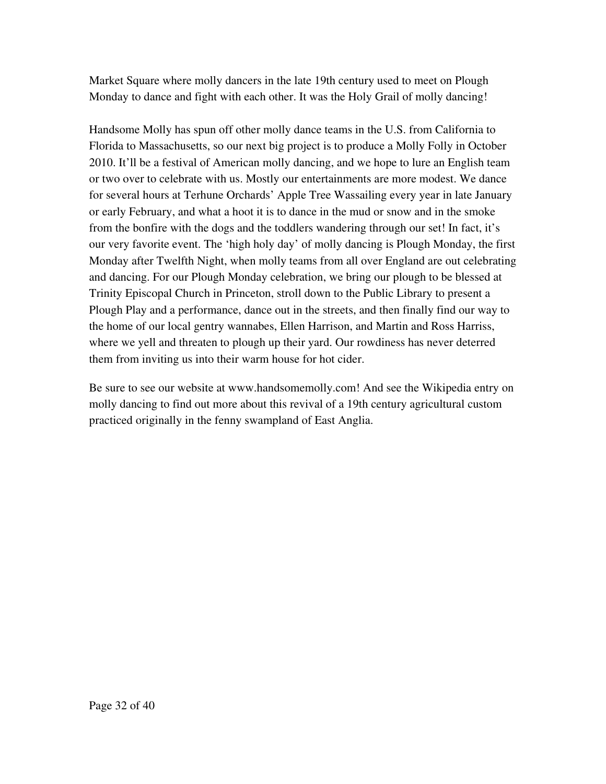Market Square where molly dancers in the late 19th century used to meet on Plough Monday to dance and fight with each other. It was the Holy Grail of molly dancing!

Handsome Molly has spun off other molly dance teams in the U.S. from California to Florida to Massachusetts, so our next big project is to produce a Molly Folly in October 2010. It'll be a festival of American molly dancing, and we hope to lure an English team or two over to celebrate with us. Mostly our entertainments are more modest. We dance for several hours at Terhune Orchards' Apple Tree Wassailing every year in late January or early February, and what a hoot it is to dance in the mud or snow and in the smoke from the bonfire with the dogs and the toddlers wandering through our set! In fact, it's our very favorite event. The 'high holy day' of molly dancing is Plough Monday, the first Monday after Twelfth Night, when molly teams from all over England are out celebrating and dancing. For our Plough Monday celebration, we bring our plough to be blessed at Trinity Episcopal Church in Princeton, stroll down to the Public Library to present a Plough Play and a performance, dance out in the streets, and then finally find our way to the home of our local gentry wannabes, Ellen Harrison, and Martin and Ross Harriss, where we yell and threaten to plough up their yard. Our rowdiness has never deterred them from inviting us into their warm house for hot cider.

Be sure to see our website at www.handsomemolly.com! And see the Wikipedia entry on molly dancing to find out more about this revival of a 19th century agricultural custom practiced originally in the fenny swampland of East Anglia.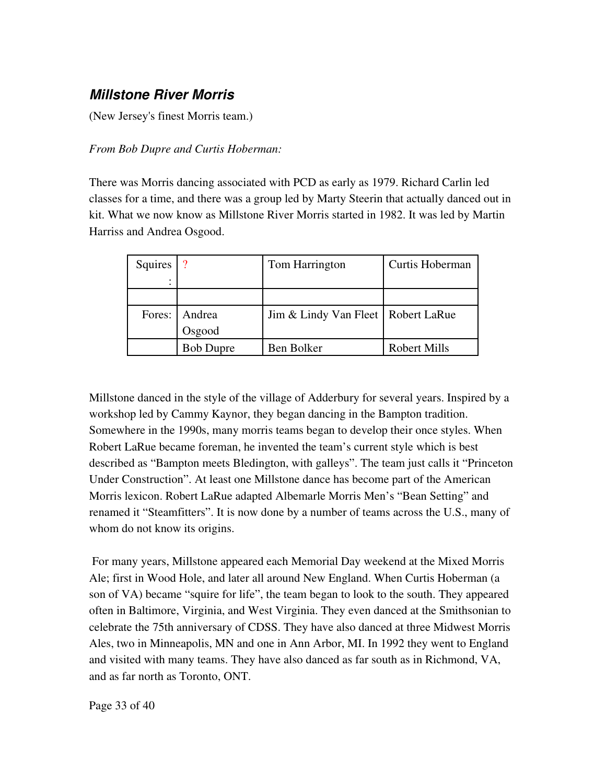### *Millstone River Morris*

(New Jersey's finest Morris team.)

### *From Bob Dupre and Curtis Hoberman:*

There was Morris dancing associated with PCD as early as 1979. Richard Carlin led classes for a time, and there was a group led by Marty Steerin that actually danced out in kit. What we now know as Millstone River Morris started in 1982. It was led by Martin Harriss and Andrea Osgood.

| Squires | $\boldsymbol{\eta}$ | Tom Harrington                       | Curtis Hoberman     |
|---------|---------------------|--------------------------------------|---------------------|
|         |                     |                                      |                     |
|         |                     |                                      |                     |
| Fores:  | Andrea              | Jim & Lindy Van Fleet   Robert LaRue |                     |
|         | Osgood              |                                      |                     |
|         | <b>Bob Dupre</b>    | Ben Bolker                           | <b>Robert Mills</b> |

Millstone danced in the style of the village of Adderbury for several years. Inspired by a workshop led by Cammy Kaynor, they began dancing in the Bampton tradition. Somewhere in the 1990s, many morris teams began to develop their once styles. When Robert LaRue became foreman, he invented the team's current style which is best described as "Bampton meets Bledington, with galleys". The team just calls it "Princeton Under Construction". At least one Millstone dance has become part of the American Morris lexicon. Robert LaRue adapted Albemarle Morris Men's "Bean Setting" and renamed it "Steamfitters". It is now done by a number of teams across the U.S., many of whom do not know its origins.

 For many years, Millstone appeared each Memorial Day weekend at the Mixed Morris Ale; first in Wood Hole, and later all around New England. When Curtis Hoberman (a son of VA) became "squire for life", the team began to look to the south. They appeared often in Baltimore, Virginia, and West Virginia. They even danced at the Smithsonian to celebrate the 75th anniversary of CDSS. They have also danced at three Midwest Morris Ales, two in Minneapolis, MN and one in Ann Arbor, MI. In 1992 they went to England and visited with many teams. They have also danced as far south as in Richmond, VA, and as far north as Toronto, ONT.

Page 33 of 40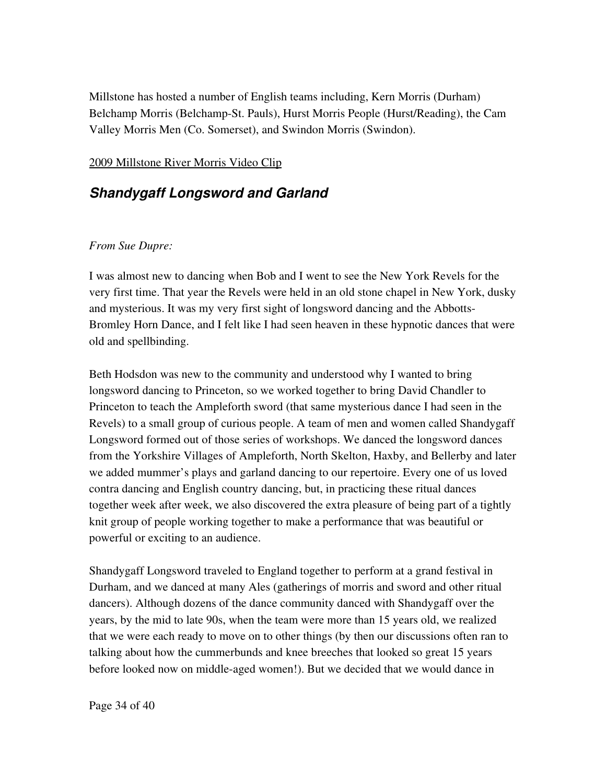Millstone has hosted a number of English teams including, Kern Morris (Durham) Belchamp Morris (Belchamp-St. Pauls), Hurst Morris People (Hurst/Reading), the Cam Valley Morris Men (Co. Somerset), and Swindon Morris (Swindon).

### [2009 Millstone River Morris Video Clip](http://www.youtube.com/watch?v=pzgZqykMVeE)

### *Shandygaff Longsword and Garland*

### *From Sue Dupre:*

I was almost new to dancing when Bob and I went to see the New York Revels for the very first time. That year the Revels were held in an old stone chapel in New York, dusky and mysterious. It was my very first sight of longsword dancing and the Abbotts-Bromley Horn Dance, and I felt like I had seen heaven in these hypnotic dances that were old and spellbinding.

Beth Hodsdon was new to the community and understood why I wanted to bring longsword dancing to Princeton, so we worked together to bring David Chandler to Princeton to teach the Ampleforth sword (that same mysterious dance I had seen in the Revels) to a small group of curious people. A team of men and women called Shandygaff Longsword formed out of those series of workshops. We danced the longsword dances from the Yorkshire Villages of Ampleforth, North Skelton, Haxby, and Bellerby and later we added mummer's plays and garland dancing to our repertoire. Every one of us loved contra dancing and English country dancing, but, in practicing these ritual dances together week after week, we also discovered the extra pleasure of being part of a tightly knit group of people working together to make a performance that was beautiful or powerful or exciting to an audience.

Shandygaff Longsword traveled to England together to perform at a grand festival in Durham, and we danced at many Ales (gatherings of morris and sword and other ritual dancers). Although dozens of the dance community danced with Shandygaff over the years, by the mid to late 90s, when the team were more than 15 years old, we realized that we were each ready to move on to other things (by then our discussions often ran to talking about how the cummerbunds and knee breeches that looked so great 15 years before looked now on middle-aged women!). But we decided that we would dance in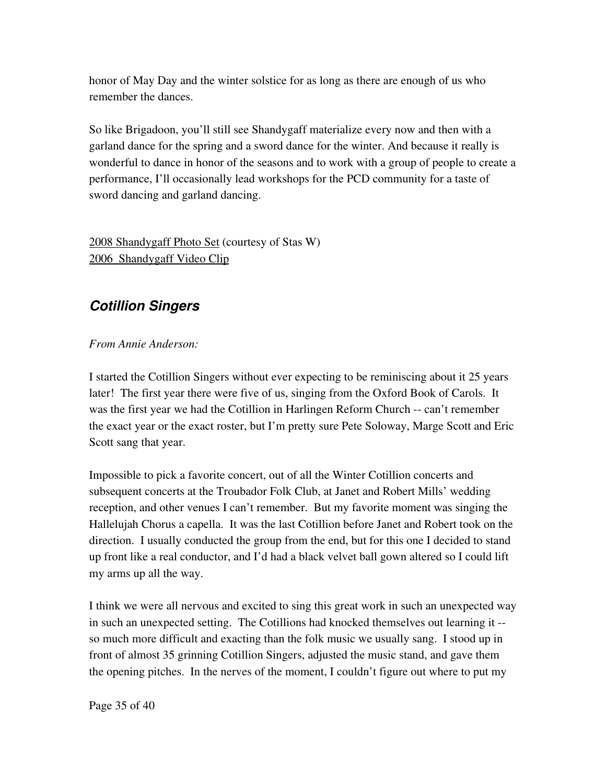honor of May Day and the winter solstice for as long as there are enough of us who remember the dances.

So like Brigadoon, you'll still see Shandygaff materialize every now and then with a garland dance for the spring and a sword dance for the winter. And because it really is wonderful to dance in honor of the seasons and to work with a group of people to create a performance, I'll occasionally lead workshops for the PCD community for a taste of sword dancing and garland dancing.

[2008 Shandygaff Photo Set](http://www.flickr.com/photos/staspix/sets/72157611335182307/) (courtesy of Stas W) [2006 Shandygaff Video Clip](http://www.youtube.com/watch?v=_FdXMgVHSUY)

### *Cotillion Singers*

### *From Annie Anderson:*

I started the Cotillion Singers without ever expecting to be reminiscing about it 25 years later! The first year there were five of us, singing from the Oxford Book of Carols. It was the first year we had the Cotillion in Harlingen Reform Church -- can't remember the exact year or the exact roster, but I'm pretty sure Pete Soloway, Marge Scott and Eric Scott sang that year.

Impossible to pick a favorite concert, out of all the Winter Cotillion concerts and subsequent concerts at the Troubador Folk Club, at Janet and Robert Mills' wedding reception, and other venues I can't remember. But my favorite moment was singing the Hallelujah Chorus a capella. It was the last Cotillion before Janet and Robert took on the direction. I usually conducted the group from the end, but for this one I decided to stand up front like a real conductor, and I'd had a black velvet ball gown altered so I could lift my arms up all the way.

I think we were all nervous and excited to sing this great work in such an unexpected way in such an unexpected setting. The Cotillions had knocked themselves out learning it so much more difficult and exacting than the folk music we usually sang. I stood up in front of almost 35 grinning Cotillion Singers, adjusted the music stand, and gave them the opening pitches. In the nerves of the moment, I couldn't figure out where to put my

Page 35 of 40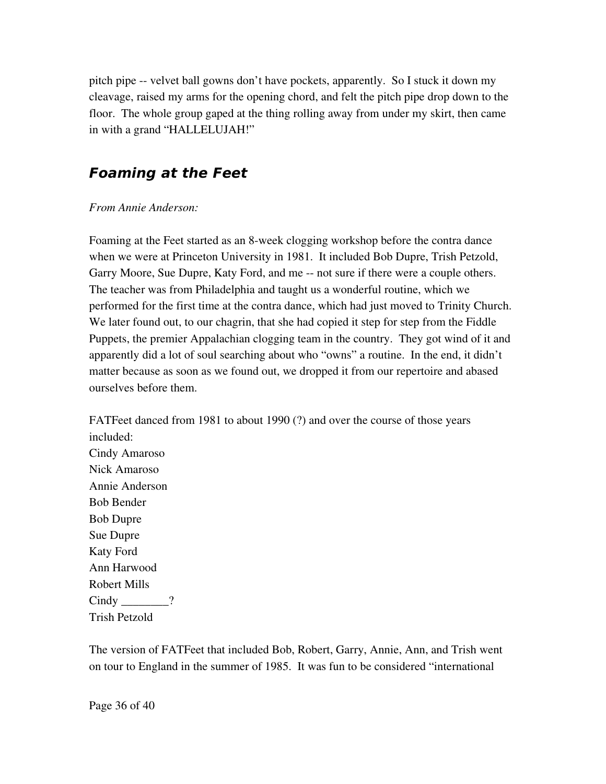pitch pipe -- velvet ball gowns don't have pockets, apparently. So I stuck it down my cleavage, raised my arms for the opening chord, and felt the pitch pipe drop down to the floor. The whole group gaped at the thing rolling away from under my skirt, then came in with a grand "HALLELUJAH!"

### **Foaming at the Feet**

### *From Annie Anderson:*

Foaming at the Feet started as an 8week clogging workshop before the contra dance when we were at Princeton University in 1981. It included Bob Dupre, Trish Petzold, Garry Moore, Sue Dupre, Katy Ford, and me -- not sure if there were a couple others. The teacher was from Philadelphia and taught us a wonderful routine, which we performed for the first time at the contra dance, which had just moved to Trinity Church. We later found out, to our chagrin, that she had copied it step for step from the Fiddle Puppets, the premier Appalachian clogging team in the country. They got wind of it and apparently did a lot of soul searching about who "owns" a routine. In the end, it didn't matter because as soon as we found out, we dropped it from our repertoire and abased ourselves before them.

FATFeet danced from 1981 to about 1990 (?) and over the course of those years included: Cindy Amaroso Nick Amaroso Annie Anderson Bob Bender Bob Dupre Sue Dupre Katy Ford Ann Harwood Robert Mills Cindy 2 Trish Petzold

The version of FATFeet that included Bob, Robert, Garry, Annie, Ann, and Trish went on tour to England in the summer of 1985. It was fun to be considered "international

Page 36 of 40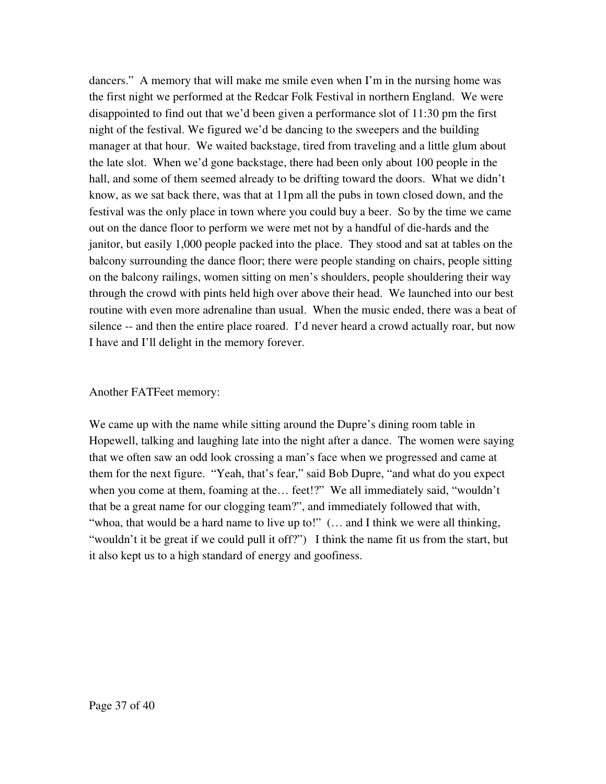dancers." A memory that will make me smile even when I'm in the nursing home was the first night we performed at the Redcar Folk Festival in northern England. We were disappointed to find out that we'd been given a performance slot of 11:30 pm the first night of the festival. We figured we'd be dancing to the sweepers and the building manager at that hour. We waited backstage, tired from traveling and a little glum about the late slot. When we'd gone backstage, there had been only about 100 people in the hall, and some of them seemed already to be drifting toward the doors. What we didn't know, as we sat back there, was that at 11pm all the pubs in town closed down, and the festival was the only place in town where you could buy a beer. So by the time we came out on the dance floor to perform we were met not by a handful of die-hards and the janitor, but easily 1,000 people packed into the place. They stood and sat at tables on the balcony surrounding the dance floor; there were people standing on chairs, people sitting on the balcony railings, women sitting on men's shoulders, people shouldering their way through the crowd with pints held high over above their head. We launched into our best routine with even more adrenaline than usual. When the music ended, there was a beat of silence -- and then the entire place roared. I'd never heard a crowd actually roar, but now I have and I'll delight in the memory forever.

#### Another FATFeet memory:

We came up with the name while sitting around the Dupre's dining room table in Hopewell, talking and laughing late into the night after a dance. The women were saying that we often saw an odd look crossing a man's face when we progressed and came at them for the next figure. "Yeah, that's fear," said Bob Dupre, "and what do you expect when you come at them, foaming at the... feet!?" We all immediately said, "wouldn't that be a great name for our clogging team?", and immediately followed that with, "whoa, that would be a hard name to live up to!" (... and I think we were all thinking, "wouldn't it be great if we could pull it off?") I think the name fit us from the start, but it also kept us to a high standard of energy and goofiness.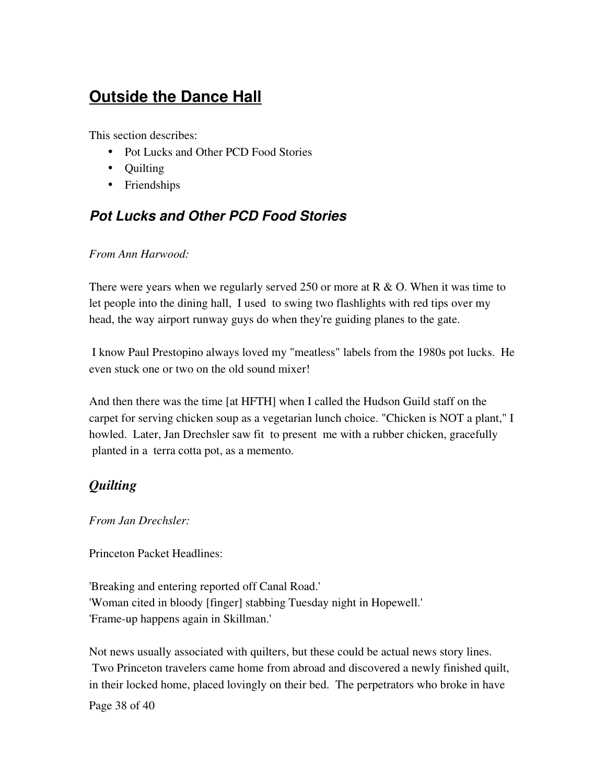## **Outside the Dance Hall**

This section describes:

- Pot Lucks and Other PCD Food Stories
- Quilting
- Friendships

## *Pot Lucks and Other PCD Food Stories*

### *From Ann Harwood:*

There were years when we regularly served 250 or more at  $R \& O$ . When it was time to let people into the dining hall, I used to swing two flashlights with red tips over my head, the way airport runway guys do when they're guiding planes to the gate.

 I know Paul Prestopino always loved my "meatless" labels from the 1980s pot lucks. He even stuck one or two on the old sound mixer!

And then there was the time [at HFTH] when I called the Hudson Guild staff on the carpet for serving chicken soup as a vegetarian lunch choice. "Chicken is NOT a plant," I howled. Later, Jan Drechsler saw fit to present me with a rubber chicken, gracefully planted in a terra cotta pot, as a memento.

### *Quilting*

### *From Jan Drechsler:*

Princeton Packet Headlines:

'Breaking and entering reported off Canal Road.' 'Woman cited in bloody [finger] stabbing Tuesday night in Hopewell.' 'Frame-up happens again in Skillman.'

Not news usually associated with quilters, but these could be actual news story lines. Two Princeton travelers came home from abroad and discovered a newly finished quilt, in their locked home, placed lovingly on their bed. The perpetrators who broke in have

Page 38 of 40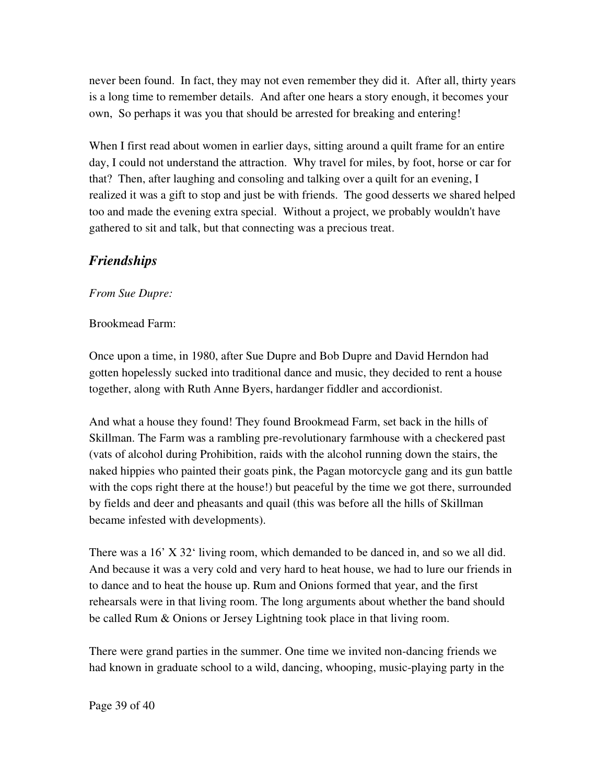never been found. In fact, they may not even remember they did it. After all, thirty years is a long time to remember details. And after one hears a story enough, it becomes your own, So perhaps it was you that should be arrested for breaking and entering!

When I first read about women in earlier days, sitting around a quilt frame for an entire day, I could not understand the attraction. Why travel for miles, by foot, horse or car for that? Then, after laughing and consoling and talking over a quilt for an evening, I realized it was a gift to stop and just be with friends. The good desserts we shared helped too and made the evening extra special. Without a project, we probably wouldn't have gathered to sit and talk, but that connecting was a precious treat.

### *Friendships*

*From Sue Dupre:*

#### Brookmead Farm:

Once upon a time, in 1980, after Sue Dupre and Bob Dupre and David Herndon had gotten hopelessly sucked into traditional dance and music, they decided to rent a house together, along with Ruth Anne Byers, hardanger fiddler and accordionist.

And what a house they found! They found Brookmead Farm, set back in the hills of Skillman. The Farm was a rambling pre-revolutionary farmhouse with a checkered past (vats of alcohol during Prohibition, raids with the alcohol running down the stairs, the naked hippies who painted their goats pink, the Pagan motorcycle gang and its gun battle with the cops right there at the house!) but peaceful by the time we got there, surrounded by fields and deer and pheasants and quail (this was before all the hills of Skillman became infested with developments).

There was a 16' X 32' living room, which demanded to be danced in, and so we all did. And because it was a very cold and very hard to heat house, we had to lure our friends in to dance and to heat the house up. Rum and Onions formed that year, and the first rehearsals were in that living room. The long arguments about whether the band should be called Rum & Onions or Jersey Lightning took place in that living room.

There were grand parties in the summer. One time we invited non-dancing friends we had known in graduate school to a wild, dancing, whooping, music-playing party in the